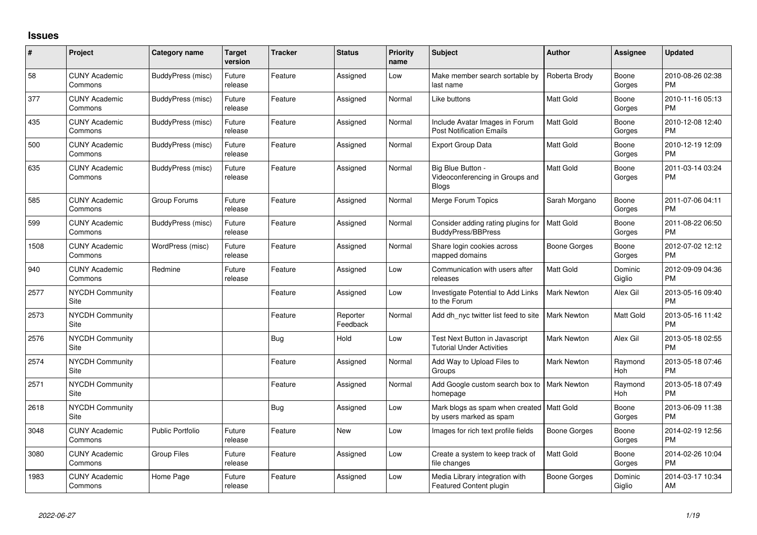## **Issues**

| #    | Project                         | <b>Category name</b>    | <b>Target</b><br>version | <b>Tracker</b> | <b>Status</b>        | <b>Priority</b><br>name | <b>Subject</b>                                                         | <b>Author</b>      | <b>Assignee</b>   | <b>Updated</b>                |
|------|---------------------------------|-------------------------|--------------------------|----------------|----------------------|-------------------------|------------------------------------------------------------------------|--------------------|-------------------|-------------------------------|
| 58   | <b>CUNY Academic</b><br>Commons | BuddyPress (misc)       | Future<br>release        | Feature        | Assigned             | Low                     | Make member search sortable by<br>last name                            | Roberta Brody      | Boone<br>Gorges   | 2010-08-26 02:38<br><b>PM</b> |
| 377  | <b>CUNY Academic</b><br>Commons | BuddyPress (misc)       | Future<br>release        | Feature        | Assigned             | Normal                  | Like buttons                                                           | Matt Gold          | Boone<br>Gorges   | 2010-11-16 05:13<br><b>PM</b> |
| 435  | <b>CUNY Academic</b><br>Commons | BuddyPress (misc)       | Future<br>release        | Feature        | Assigned             | Normal                  | Include Avatar Images in Forum<br><b>Post Notification Emails</b>      | <b>Matt Gold</b>   | Boone<br>Gorges   | 2010-12-08 12:40<br><b>PM</b> |
| 500  | <b>CUNY Academic</b><br>Commons | BuddyPress (misc)       | Future<br>release        | Feature        | Assigned             | Normal                  | <b>Export Group Data</b>                                               | <b>Matt Gold</b>   | Boone<br>Gorges   | 2010-12-19 12:09<br><b>PM</b> |
| 635  | <b>CUNY Academic</b><br>Commons | BuddyPress (misc)       | Future<br>release        | Feature        | Assigned             | Normal                  | Big Blue Button -<br>Videoconferencing in Groups and<br><b>Blogs</b>   | Matt Gold          | Boone<br>Gorges   | 2011-03-14 03:24<br><b>PM</b> |
| 585  | <b>CUNY Academic</b><br>Commons | Group Forums            | Future<br>release        | Feature        | Assigned             | Normal                  | Merge Forum Topics                                                     | Sarah Morgano      | Boone<br>Gorges   | 2011-07-06 04:11<br><b>PM</b> |
| 599  | <b>CUNY Academic</b><br>Commons | BuddyPress (misc)       | Future<br>release        | Feature        | Assigned             | Normal                  | Consider adding rating plugins for<br><b>BuddyPress/BBPress</b>        | <b>Matt Gold</b>   | Boone<br>Gorges   | 2011-08-22 06:50<br><b>PM</b> |
| 1508 | <b>CUNY Academic</b><br>Commons | WordPress (misc)        | Future<br>release        | Feature        | Assigned             | Normal                  | Share login cookies across<br>mapped domains                           | Boone Gorges       | Boone<br>Gorges   | 2012-07-02 12:12<br><b>PM</b> |
| 940  | <b>CUNY Academic</b><br>Commons | Redmine                 | Future<br>release        | Feature        | Assigned             | Low                     | Communication with users after<br>releases                             | <b>Matt Gold</b>   | Dominic<br>Giglio | 2012-09-09 04:36<br><b>PM</b> |
| 2577 | <b>NYCDH Community</b><br>Site  |                         |                          | Feature        | Assigned             | Low                     | Investigate Potential to Add Links<br>to the Forum                     | <b>Mark Newton</b> | Alex Gil          | 2013-05-16 09:40<br><b>PM</b> |
| 2573 | <b>NYCDH Community</b><br>Site  |                         |                          | Feature        | Reporter<br>Feedback | Normal                  | Add dh_nyc twitter list feed to site                                   | <b>Mark Newton</b> | Matt Gold         | 2013-05-16 11:42<br><b>PM</b> |
| 2576 | <b>NYCDH Community</b><br>Site  |                         |                          | Bug            | Hold                 | Low                     | Test Next Button in Javascript<br><b>Tutorial Under Activities</b>     | <b>Mark Newton</b> | Alex Gil          | 2013-05-18 02:55<br><b>PM</b> |
| 2574 | <b>NYCDH Community</b><br>Site  |                         |                          | Feature        | Assigned             | Normal                  | Add Way to Upload Files to<br>Groups                                   | <b>Mark Newton</b> | Raymond<br>Hoh    | 2013-05-18 07:46<br><b>PM</b> |
| 2571 | <b>NYCDH Community</b><br>Site  |                         |                          | Feature        | Assigned             | Normal                  | Add Google custom search box to   Mark Newton<br>homepage              |                    | Raymond<br>Hoh    | 2013-05-18 07:49<br><b>PM</b> |
| 2618 | <b>NYCDH Community</b><br>Site  |                         |                          | <b>Bug</b>     | Assigned             | Low                     | Mark blogs as spam when created   Matt Gold<br>by users marked as spam |                    | Boone<br>Gorges   | 2013-06-09 11:38<br><b>PM</b> |
| 3048 | <b>CUNY Academic</b><br>Commons | <b>Public Portfolio</b> | Future<br>release        | Feature        | <b>New</b>           | Low                     | Images for rich text profile fields                                    | Boone Gorges       | Boone<br>Gorges   | 2014-02-19 12:56<br><b>PM</b> |
| 3080 | <b>CUNY Academic</b><br>Commons | <b>Group Files</b>      | Future<br>release        | Feature        | Assigned             | Low                     | Create a system to keep track of<br>file changes                       | Matt Gold          | Boone<br>Gorges   | 2014-02-26 10:04<br><b>PM</b> |
| 1983 | <b>CUNY Academic</b><br>Commons | Home Page               | Future<br>release        | Feature        | Assigned             | Low                     | Media Library integration with<br>Featured Content plugin              | Boone Gorges       | Dominic<br>Giglio | 2014-03-17 10:34<br>AM        |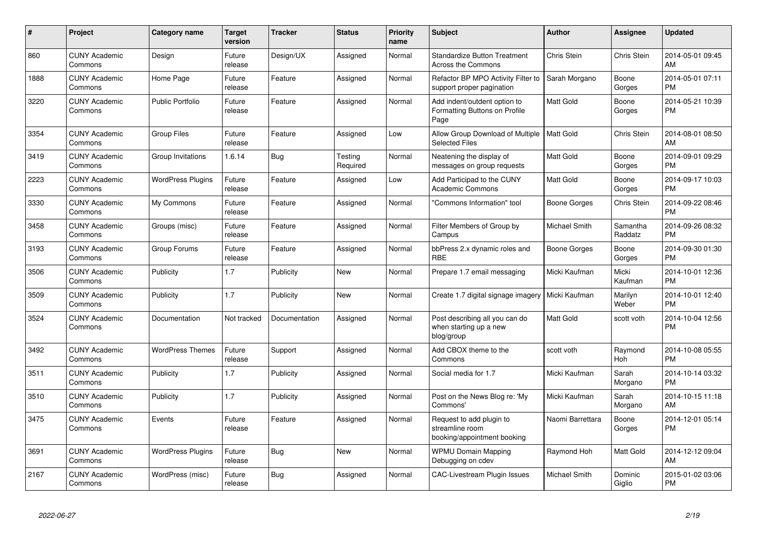| #    | Project                         | <b>Category name</b>     | <b>Target</b><br>version | <b>Tracker</b> | <b>Status</b>       | <b>Priority</b><br>name | <b>Subject</b>                                                             | <b>Author</b>    | Assignee            | <b>Updated</b>                |
|------|---------------------------------|--------------------------|--------------------------|----------------|---------------------|-------------------------|----------------------------------------------------------------------------|------------------|---------------------|-------------------------------|
| 860  | <b>CUNY Academic</b><br>Commons | Design                   | Future<br>release        | Design/UX      | Assigned            | Normal                  | <b>Standardize Button Treatment</b><br><b>Across the Commons</b>           | Chris Stein      | Chris Stein         | 2014-05-01 09:45<br>AM        |
| 1888 | <b>CUNY Academic</b><br>Commons | Home Page                | Future<br>release        | Feature        | Assigned            | Normal                  | Refactor BP MPO Activity Filter to<br>support proper pagination            | Sarah Morgano    | Boone<br>Gorges     | 2014-05-01 07:11<br><b>PM</b> |
| 3220 | <b>CUNY Academic</b><br>Commons | <b>Public Portfolio</b>  | Future<br>release        | Feature        | Assigned            | Normal                  | Add indent/outdent option to<br>Formatting Buttons on Profile<br>Page      | Matt Gold        | Boone<br>Gorges     | 2014-05-21 10:39<br><b>PM</b> |
| 3354 | <b>CUNY Academic</b><br>Commons | <b>Group Files</b>       | Future<br>release        | Feature        | Assigned            | Low                     | Allow Group Download of Multiple<br><b>Selected Files</b>                  | <b>Matt Gold</b> | Chris Stein         | 2014-08-01 08:50<br>AM        |
| 3419 | <b>CUNY Academic</b><br>Commons | Group Invitations        | 1.6.14                   | <b>Bug</b>     | Testing<br>Required | Normal                  | Neatening the display of<br>messages on group requests                     | Matt Gold        | Boone<br>Gorges     | 2014-09-01 09:29<br><b>PM</b> |
| 2223 | <b>CUNY Academic</b><br>Commons | <b>WordPress Plugins</b> | Future<br>release        | Feature        | Assigned            | Low                     | Add Participad to the CUNY<br><b>Academic Commons</b>                      | Matt Gold        | Boone<br>Gorges     | 2014-09-17 10:03<br><b>PM</b> |
| 3330 | <b>CUNY Academic</b><br>Commons | My Commons               | Future<br>release        | Feature        | Assigned            | Normal                  | 'Commons Information" tool                                                 | Boone Gorges     | Chris Stein         | 2014-09-22 08:46<br><b>PM</b> |
| 3458 | <b>CUNY Academic</b><br>Commons | Groups (misc)            | Future<br>release        | Feature        | Assigned            | Normal                  | Filter Members of Group by<br>Campus                                       | Michael Smith    | Samantha<br>Raddatz | 2014-09-26 08:32<br><b>PM</b> |
| 3193 | <b>CUNY Academic</b><br>Commons | Group Forums             | Future<br>release        | Feature        | Assigned            | Normal                  | bbPress 2.x dynamic roles and<br><b>RBE</b>                                | Boone Gorges     | Boone<br>Gorges     | 2014-09-30 01:30<br><b>PM</b> |
| 3506 | <b>CUNY Academic</b><br>Commons | Publicity                | 1.7                      | Publicity      | New                 | Normal                  | Prepare 1.7 email messaging                                                | Micki Kaufman    | Micki<br>Kaufman    | 2014-10-01 12:36<br><b>PM</b> |
| 3509 | <b>CUNY Academic</b><br>Commons | Publicity                | 1.7                      | Publicity      | <b>New</b>          | Normal                  | Create 1.7 digital signage imagery                                         | Micki Kaufman    | Marilyn<br>Weber    | 2014-10-01 12:40<br><b>PM</b> |
| 3524 | <b>CUNY Academic</b><br>Commons | Documentation            | Not tracked              | Documentation  | Assigned            | Normal                  | Post describing all you can do<br>when starting up a new<br>blog/group     | Matt Gold        | scott voth          | 2014-10-04 12:56<br><b>PM</b> |
| 3492 | <b>CUNY Academic</b><br>Commons | <b>WordPress Themes</b>  | Future<br>release        | Support        | Assigned            | Normal                  | Add CBOX theme to the<br>Commons                                           | scott voth       | Raymond<br>Hoh      | 2014-10-08 05:55<br><b>PM</b> |
| 3511 | <b>CUNY Academic</b><br>Commons | Publicity                | 1.7                      | Publicity      | Assigned            | Normal                  | Social media for 1.7                                                       | Micki Kaufman    | Sarah<br>Morgano    | 2014-10-14 03:32<br><b>PM</b> |
| 3510 | <b>CUNY Academic</b><br>Commons | Publicity                | 1.7                      | Publicity      | Assigned            | Normal                  | Post on the News Blog re: 'My<br>Commons'                                  | Micki Kaufman    | Sarah<br>Morgano    | 2014-10-15 11:18<br>AM        |
| 3475 | <b>CUNY Academic</b><br>Commons | Events                   | Future<br>release        | Feature        | Assigned            | Normal                  | Request to add plugin to<br>streamline room<br>booking/appointment booking | Naomi Barrettara | Boone<br>Gorges     | 2014-12-01 05:14<br><b>PM</b> |
| 3691 | <b>CUNY Academic</b><br>Commons | <b>WordPress Plugins</b> | Future<br>release        | <b>Bug</b>     | <b>New</b>          | Normal                  | <b>WPMU Domain Mapping</b><br>Debugging on cdev                            | Raymond Hoh      | Matt Gold           | 2014-12-12 09:04<br>AM        |
| 2167 | <b>CUNY Academic</b><br>Commons | WordPress (misc)         | Future<br>release        | Bug            | Assigned            | Normal                  | <b>CAC-Livestream Plugin Issues</b>                                        | Michael Smith    | Dominic<br>Giglio   | 2015-01-02 03:06<br><b>PM</b> |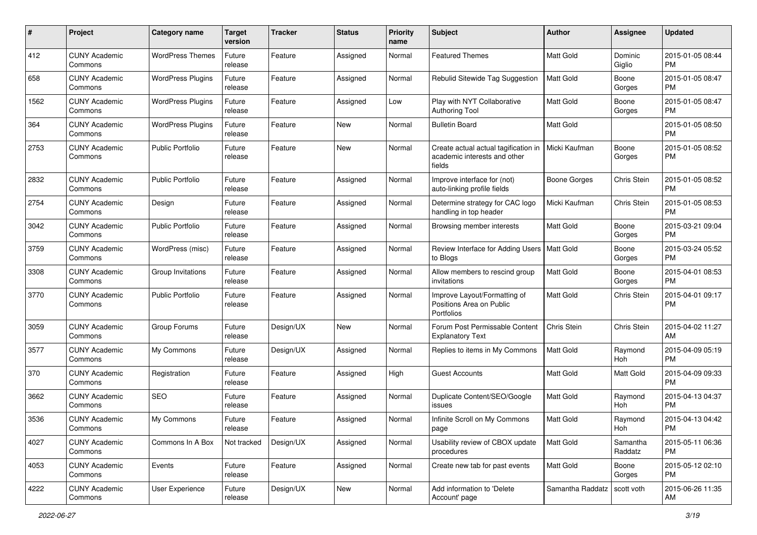| $\#$ | Project                         | <b>Category name</b>     | <b>Target</b><br>version | <b>Tracker</b> | <b>Status</b> | <b>Priority</b><br>name | Subject                                                                        | Author              | Assignee            | <b>Updated</b>                |
|------|---------------------------------|--------------------------|--------------------------|----------------|---------------|-------------------------|--------------------------------------------------------------------------------|---------------------|---------------------|-------------------------------|
| 412  | <b>CUNY Academic</b><br>Commons | <b>WordPress Themes</b>  | Future<br>release        | Feature        | Assigned      | Normal                  | <b>Featured Themes</b>                                                         | <b>Matt Gold</b>    | Dominic<br>Giglio   | 2015-01-05 08:44<br><b>PM</b> |
| 658  | <b>CUNY Academic</b><br>Commons | <b>WordPress Plugins</b> | Future<br>release        | Feature        | Assigned      | Normal                  | Rebulid Sitewide Tag Suggestion                                                | <b>Matt Gold</b>    | Boone<br>Gorges     | 2015-01-05 08:47<br><b>PM</b> |
| 1562 | CUNY Academic<br>Commons        | <b>WordPress Plugins</b> | Future<br>release        | Feature        | Assigned      | Low                     | Play with NYT Collaborative<br><b>Authoring Tool</b>                           | <b>Matt Gold</b>    | Boone<br>Gorges     | 2015-01-05 08:47<br><b>PM</b> |
| 364  | <b>CUNY Academic</b><br>Commons | <b>WordPress Plugins</b> | Future<br>release        | Feature        | New           | Normal                  | <b>Bulletin Board</b>                                                          | <b>Matt Gold</b>    |                     | 2015-01-05 08:50<br><b>PM</b> |
| 2753 | <b>CUNY Academic</b><br>Commons | <b>Public Portfolio</b>  | Future<br>release        | Feature        | New           | Normal                  | Create actual actual tagification in<br>academic interests and other<br>fields | Micki Kaufman       | Boone<br>Gorges     | 2015-01-05 08:52<br><b>PM</b> |
| 2832 | <b>CUNY Academic</b><br>Commons | <b>Public Portfolio</b>  | Future<br>release        | Feature        | Assigned      | Normal                  | Improve interface for (not)<br>auto-linking profile fields                     | <b>Boone Gorges</b> | Chris Stein         | 2015-01-05 08:52<br><b>PM</b> |
| 2754 | <b>CUNY Academic</b><br>Commons | Design                   | Future<br>release        | Feature        | Assigned      | Normal                  | Determine strategy for CAC logo<br>handling in top header                      | Micki Kaufman       | Chris Stein         | 2015-01-05 08:53<br><b>PM</b> |
| 3042 | <b>CUNY Academic</b><br>Commons | <b>Public Portfolio</b>  | Future<br>release        | Feature        | Assigned      | Normal                  | Browsing member interests                                                      | Matt Gold           | Boone<br>Gorges     | 2015-03-21 09:04<br><b>PM</b> |
| 3759 | <b>CUNY Academic</b><br>Commons | WordPress (misc)         | Future<br>release        | Feature        | Assigned      | Normal                  | Review Interface for Adding Users   Matt Gold<br>to Blogs                      |                     | Boone<br>Gorges     | 2015-03-24 05:52<br><b>PM</b> |
| 3308 | <b>CUNY Academic</b><br>Commons | Group Invitations        | Future<br>release        | Feature        | Assigned      | Normal                  | Allow members to rescind group<br>invitations                                  | <b>Matt Gold</b>    | Boone<br>Gorges     | 2015-04-01 08:53<br><b>PM</b> |
| 3770 | <b>CUNY Academic</b><br>Commons | <b>Public Portfolio</b>  | Future<br>release        | Feature        | Assigned      | Normal                  | Improve Layout/Formatting of<br>Positions Area on Public<br>Portfolios         | Matt Gold           | Chris Stein         | 2015-04-01 09:17<br><b>PM</b> |
| 3059 | <b>CUNY Academic</b><br>Commons | Group Forums             | Future<br>release        | Design/UX      | New           | Normal                  | Forum Post Permissable Content<br><b>Explanatory Text</b>                      | Chris Stein         | Chris Stein         | 2015-04-02 11:27<br>AM        |
| 3577 | <b>CUNY Academic</b><br>Commons | My Commons               | Future<br>release        | Design/UX      | Assigned      | Normal                  | Replies to items in My Commons                                                 | <b>Matt Gold</b>    | Raymond<br>Hoh      | 2015-04-09 05:19<br><b>PM</b> |
| 370  | <b>CUNY Academic</b><br>Commons | Registration             | Future<br>release        | Feature        | Assigned      | High                    | <b>Guest Accounts</b>                                                          | Matt Gold           | Matt Gold           | 2015-04-09 09:33<br><b>PM</b> |
| 3662 | <b>CUNY Academic</b><br>Commons | <b>SEO</b>               | Future<br>release        | Feature        | Assigned      | Normal                  | Duplicate Content/SEO/Google<br>issues                                         | Matt Gold           | Raymond<br>Hoh      | 2015-04-13 04:37<br><b>PM</b> |
| 3536 | <b>CUNY Academic</b><br>Commons | My Commons               | Future<br>release        | Feature        | Assigned      | Normal                  | Infinite Scroll on My Commons<br>page                                          | Matt Gold           | Raymond<br>Hoh      | 2015-04-13 04:42<br>PM        |
| 4027 | <b>CUNY Academic</b><br>Commons | Commons In A Box         | Not tracked              | Design/UX      | Assigned      | Normal                  | Usability review of CBOX update<br>procedures                                  | Matt Gold           | Samantha<br>Raddatz | 2015-05-11 06:36<br><b>PM</b> |
| 4053 | <b>CUNY Academic</b><br>Commons | Events                   | Future<br>release        | Feature        | Assigned      | Normal                  | Create new tab for past events                                                 | Matt Gold           | Boone<br>Gorges     | 2015-05-12 02:10<br><b>PM</b> |
| 4222 | <b>CUNY Academic</b><br>Commons | User Experience          | Future<br>release        | Design/UX      | New           | Normal                  | Add information to 'Delete<br>Account' page                                    | Samantha Raddatz    | scott voth          | 2015-06-26 11:35<br>AM        |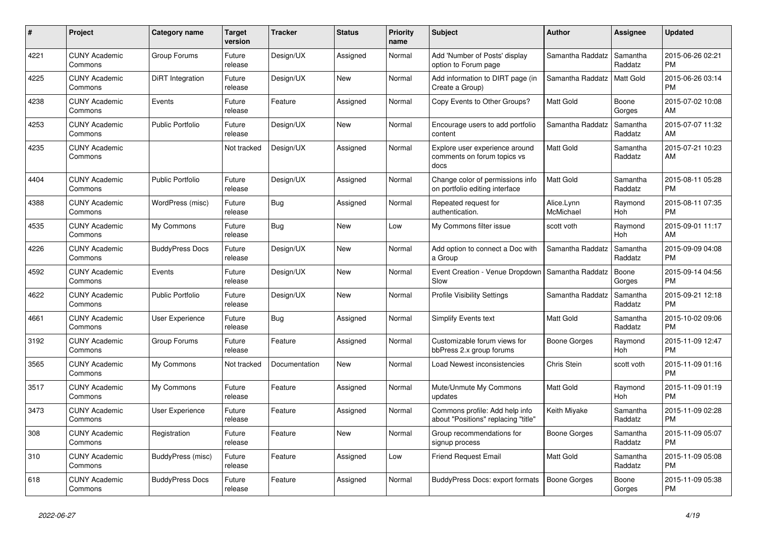| #    | Project                         | <b>Category name</b>    | <b>Target</b><br>version | <b>Tracker</b> | <b>Status</b> | <b>Priority</b><br>name | <b>Subject</b>                                                        | <b>Author</b>           | Assignee            | <b>Updated</b>                |
|------|---------------------------------|-------------------------|--------------------------|----------------|---------------|-------------------------|-----------------------------------------------------------------------|-------------------------|---------------------|-------------------------------|
| 4221 | <b>CUNY Academic</b><br>Commons | Group Forums            | Future<br>release        | Design/UX      | Assigned      | Normal                  | Add 'Number of Posts' display<br>option to Forum page                 | Samantha Raddatz        | Samantha<br>Raddatz | 2015-06-26 02:21<br><b>PM</b> |
| 4225 | <b>CUNY Academic</b><br>Commons | <b>DiRT</b> Integration | Future<br>release        | Design/UX      | <b>New</b>    | Normal                  | Add information to DIRT page (in<br>Create a Group)                   | Samantha Raddatz        | <b>Matt Gold</b>    | 2015-06-26 03:14<br><b>PM</b> |
| 4238 | <b>CUNY Academic</b><br>Commons | Events                  | Future<br>release        | Feature        | Assigned      | Normal                  | Copy Events to Other Groups?                                          | Matt Gold               | Boone<br>Gorges     | 2015-07-02 10:08<br>AM        |
| 4253 | <b>CUNY Academic</b><br>Commons | <b>Public Portfolio</b> | Future<br>release        | Design/UX      | <b>New</b>    | Normal                  | Encourage users to add portfolio<br>content                           | Samantha Raddatz        | Samantha<br>Raddatz | 2015-07-07 11:32<br>AM        |
| 4235 | <b>CUNY Academic</b><br>Commons |                         | Not tracked              | Design/UX      | Assigned      | Normal                  | Explore user experience around<br>comments on forum topics vs<br>docs | Matt Gold               | Samantha<br>Raddatz | 2015-07-21 10:23<br>AM        |
| 4404 | <b>CUNY Academic</b><br>Commons | <b>Public Portfolio</b> | Future<br>release        | Design/UX      | Assigned      | Normal                  | Change color of permissions info<br>on portfolio editing interface    | <b>Matt Gold</b>        | Samantha<br>Raddatz | 2015-08-11 05:28<br><b>PM</b> |
| 4388 | <b>CUNY Academic</b><br>Commons | WordPress (misc)        | Future<br>release        | Bug            | Assigned      | Normal                  | Repeated request for<br>authentication.                               | Alice.Lynn<br>McMichael | Raymond<br>Hoh      | 2015-08-11 07:35<br><b>PM</b> |
| 4535 | <b>CUNY Academic</b><br>Commons | My Commons              | Future<br>release        | Bug            | <b>New</b>    | Low                     | My Commons filter issue                                               | scott voth              | Raymond<br>Hoh      | 2015-09-01 11:17<br>AM        |
| 4226 | <b>CUNY Academic</b><br>Commons | <b>BuddyPress Docs</b>  | Future<br>release        | Design/UX      | <b>New</b>    | Normal                  | Add option to connect a Doc with<br>a Group                           | Samantha Raddatz        | Samantha<br>Raddatz | 2015-09-09 04:08<br><b>PM</b> |
| 4592 | <b>CUNY Academic</b><br>Commons | Events                  | Future<br>release        | Design/UX      | <b>New</b>    | Normal                  | Event Creation - Venue Dropdown<br>Slow                               | Samantha Raddatz        | Boone<br>Gorges     | 2015-09-14 04:56<br><b>PM</b> |
| 4622 | <b>CUNY Academic</b><br>Commons | <b>Public Portfolio</b> | Future<br>release        | Design/UX      | <b>New</b>    | Normal                  | <b>Profile Visibility Settings</b>                                    | Samantha Raddatz        | Samantha<br>Raddatz | 2015-09-21 12:18<br><b>PM</b> |
| 4661 | <b>CUNY Academic</b><br>Commons | <b>User Experience</b>  | Future<br>release        | Bug            | Assigned      | Normal                  | <b>Simplify Events text</b>                                           | <b>Matt Gold</b>        | Samantha<br>Raddatz | 2015-10-02 09:06<br><b>PM</b> |
| 3192 | <b>CUNY Academic</b><br>Commons | Group Forums            | Future<br>release        | Feature        | Assigned      | Normal                  | Customizable forum views for<br>bbPress 2.x group forums              | Boone Gorges            | Raymond<br>Hoh      | 2015-11-09 12:47<br><b>PM</b> |
| 3565 | <b>CUNY Academic</b><br>Commons | My Commons              | Not tracked              | Documentation  | <b>New</b>    | Normal                  | Load Newest inconsistencies                                           | <b>Chris Stein</b>      | scott voth          | 2015-11-09 01:16<br><b>PM</b> |
| 3517 | <b>CUNY Academic</b><br>Commons | My Commons              | Future<br>release        | Feature        | Assigned      | Normal                  | Mute/Unmute My Commons<br>updates                                     | <b>Matt Gold</b>        | Raymond<br>Hoh      | 2015-11-09 01:19<br><b>PM</b> |
| 3473 | <b>CUNY Academic</b><br>Commons | <b>User Experience</b>  | Future<br>release        | Feature        | Assigned      | Normal                  | Commons profile: Add help info<br>about "Positions" replacing "title" | Keith Miyake            | Samantha<br>Raddatz | 2015-11-09 02:28<br><b>PM</b> |
| 308  | <b>CUNY Academic</b><br>Commons | Registration            | Future<br>release        | Feature        | <b>New</b>    | Normal                  | Group recommendations for<br>signup process                           | Boone Gorges            | Samantha<br>Raddatz | 2015-11-09 05:07<br><b>PM</b> |
| 310  | <b>CUNY Academic</b><br>Commons | BuddyPress (misc)       | Future<br>release        | Feature        | Assigned      | Low                     | <b>Friend Request Email</b>                                           | <b>Matt Gold</b>        | Samantha<br>Raddatz | 2015-11-09 05:08<br><b>PM</b> |
| 618  | <b>CUNY Academic</b><br>Commons | <b>BuddyPress Docs</b>  | Future<br>release        | Feature        | Assigned      | Normal                  | BuddyPress Docs: export formats                                       | Boone Gorges            | Boone<br>Gorges     | 2015-11-09 05:38<br><b>PM</b> |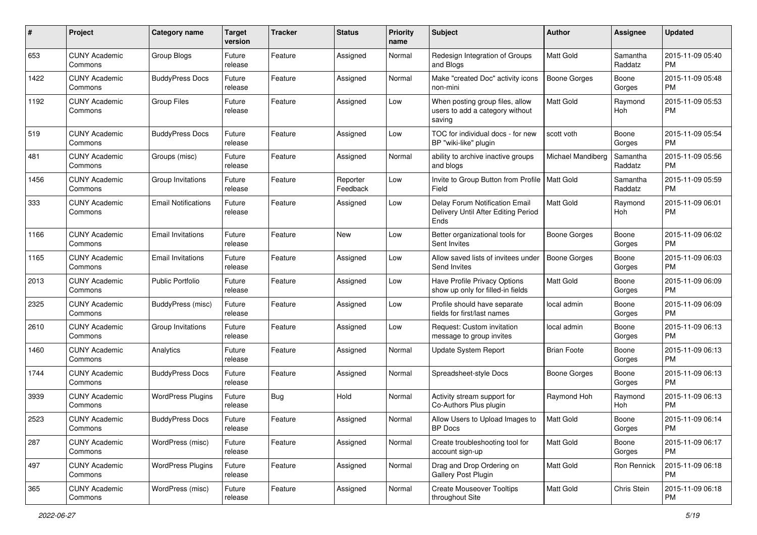| #    | Project                         | <b>Category name</b>       | <b>Target</b><br>version | <b>Tracker</b> | <b>Status</b>        | <b>Priority</b><br>name | Subject                                                                       | Author              | Assignee            | <b>Updated</b>                |
|------|---------------------------------|----------------------------|--------------------------|----------------|----------------------|-------------------------|-------------------------------------------------------------------------------|---------------------|---------------------|-------------------------------|
| 653  | <b>CUNY Academic</b><br>Commons | Group Blogs                | Future<br>release        | Feature        | Assigned             | Normal                  | Redesign Integration of Groups<br>and Blogs                                   | <b>Matt Gold</b>    | Samantha<br>Raddatz | 2015-11-09 05:40<br><b>PM</b> |
| 1422 | <b>CUNY Academic</b><br>Commons | <b>BuddyPress Docs</b>     | Future<br>release        | Feature        | Assigned             | Normal                  | Make "created Doc" activity icons<br>non-mini                                 | <b>Boone Gorges</b> | Boone<br>Gorges     | 2015-11-09 05:48<br><b>PM</b> |
| 1192 | CUNY Academic<br>Commons        | <b>Group Files</b>         | Future<br>release        | Feature        | Assigned             | Low                     | When posting group files, allow<br>users to add a category without<br>saving  | <b>Matt Gold</b>    | Raymond<br>Hoh      | 2015-11-09 05:53<br><b>PM</b> |
| 519  | CUNY Academic<br>Commons        | <b>BuddyPress Docs</b>     | Future<br>release        | Feature        | Assigned             | Low                     | TOC for individual docs - for new<br>BP "wiki-like" plugin                    | scott voth          | Boone<br>Gorges     | 2015-11-09 05:54<br><b>PM</b> |
| 481  | <b>CUNY Academic</b><br>Commons | Groups (misc)              | Future<br>release        | Feature        | Assigned             | Normal                  | ability to archive inactive groups<br>and blogs                               | Michael Mandiberg   | Samantha<br>Raddatz | 2015-11-09 05:56<br><b>PM</b> |
| 1456 | CUNY Academic<br>Commons        | Group Invitations          | Future<br>release        | Feature        | Reporter<br>Feedback | Low                     | Invite to Group Button from Profile   Matt Gold<br>Field                      |                     | Samantha<br>Raddatz | 2015-11-09 05:59<br><b>PM</b> |
| 333  | <b>CUNY Academic</b><br>Commons | <b>Email Notifications</b> | Future<br>release        | Feature        | Assigned             | Low                     | Delay Forum Notification Email<br>Delivery Until After Editing Period<br>Ends | <b>Matt Gold</b>    | Raymond<br>Hoh      | 2015-11-09 06:01<br><b>PM</b> |
| 1166 | <b>CUNY Academic</b><br>Commons | <b>Email Invitations</b>   | Future<br>release        | Feature        | New                  | Low                     | Better organizational tools for<br>Sent Invites                               | <b>Boone Gorges</b> | Boone<br>Gorges     | 2015-11-09 06:02<br><b>PM</b> |
| 1165 | <b>CUNY Academic</b><br>Commons | <b>Email Invitations</b>   | Future<br>release        | Feature        | Assigned             | Low                     | Allow saved lists of invitees under<br>Send Invites                           | <b>Boone Gorges</b> | Boone<br>Gorges     | 2015-11-09 06:03<br><b>PM</b> |
| 2013 | <b>CUNY Academic</b><br>Commons | <b>Public Portfolio</b>    | Future<br>release        | Feature        | Assigned             | Low                     | Have Profile Privacy Options<br>show up only for filled-in fields             | <b>Matt Gold</b>    | Boone<br>Gorges     | 2015-11-09 06:09<br><b>PM</b> |
| 2325 | <b>CUNY Academic</b><br>Commons | BuddyPress (misc)          | Future<br>release        | Feature        | Assigned             | Low                     | Profile should have separate<br>fields for first/last names                   | local admin         | Boone<br>Gorges     | 2015-11-09 06:09<br><b>PM</b> |
| 2610 | <b>CUNY Academic</b><br>Commons | Group Invitations          | Future<br>release        | Feature        | Assigned             | Low                     | Request: Custom invitation<br>message to group invites                        | local admin         | Boone<br>Gorges     | 2015-11-09 06:13<br><b>PM</b> |
| 1460 | <b>CUNY Academic</b><br>Commons | Analytics                  | Future<br>release        | Feature        | Assigned             | Normal                  | Update System Report                                                          | <b>Brian Foote</b>  | Boone<br>Gorges     | 2015-11-09 06:13<br><b>PM</b> |
| 1744 | <b>CUNY Academic</b><br>Commons | <b>BuddyPress Docs</b>     | Future<br>release        | Feature        | Assigned             | Normal                  | Spreadsheet-style Docs                                                        | <b>Boone Gorges</b> | Boone<br>Gorges     | 2015-11-09 06:13<br><b>PM</b> |
| 3939 | <b>CUNY Academic</b><br>Commons | <b>WordPress Plugins</b>   | Future<br>release        | <b>Bug</b>     | Hold                 | Normal                  | Activity stream support for<br>Co-Authors Plus plugin                         | Raymond Hoh         | Raymond<br>Hoh      | 2015-11-09 06:13<br><b>PM</b> |
| 2523 | <b>CUNY Academic</b><br>Commons | <b>BuddyPress Docs</b>     | Future<br>release        | Feature        | Assigned             | Normal                  | Allow Users to Upload Images to<br>BP Docs                                    | Matt Gold           | Boone<br>Gorges     | 2015-11-09 06:14<br>PM        |
| 287  | <b>CUNY Academic</b><br>Commons | WordPress (misc)           | Future<br>release        | Feature        | Assigned             | Normal                  | Create troubleshooting tool for<br>account sign-up                            | Matt Gold           | Boone<br>Gorges     | 2015-11-09 06:17<br><b>PM</b> |
| 497  | <b>CUNY Academic</b><br>Commons | <b>WordPress Plugins</b>   | Future<br>release        | Feature        | Assigned             | Normal                  | Drag and Drop Ordering on<br>Gallery Post Plugin                              | Matt Gold           | Ron Rennick         | 2015-11-09 06:18<br>PM        |
| 365  | <b>CUNY Academic</b><br>Commons | WordPress (misc)           | Future<br>release        | Feature        | Assigned             | Normal                  | <b>Create Mouseover Tooltips</b><br>throughout Site                           | Matt Gold           | Chris Stein         | 2015-11-09 06:18<br>PM        |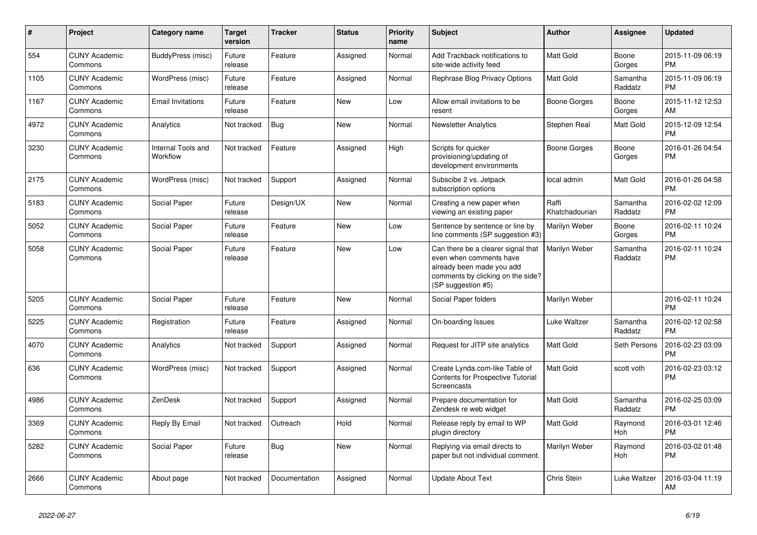| $\#$ | Project                         | Category name                  | <b>Target</b><br>version | <b>Tracker</b> | <b>Status</b> | <b>Priority</b><br>name | <b>Subject</b>                                                                                                                                        | Author                  | Assignee              | <b>Updated</b>                |
|------|---------------------------------|--------------------------------|--------------------------|----------------|---------------|-------------------------|-------------------------------------------------------------------------------------------------------------------------------------------------------|-------------------------|-----------------------|-------------------------------|
| 554  | <b>CUNY Academic</b><br>Commons | BuddyPress (misc)              | Future<br>release        | Feature        | Assigned      | Normal                  | Add Trackback notifications to<br>site-wide activity feed                                                                                             | Matt Gold               | Boone<br>Gorges       | 2015-11-09 06:19<br>PM        |
| 1105 | <b>CUNY Academic</b><br>Commons | WordPress (misc)               | Future<br>release        | Feature        | Assigned      | Normal                  | Rephrase Blog Privacy Options                                                                                                                         | <b>Matt Gold</b>        | Samantha<br>Raddatz   | 2015-11-09 06:19<br><b>PM</b> |
| 1167 | <b>CUNY Academic</b><br>Commons | <b>Email Invitations</b>       | Future<br>release        | Feature        | <b>New</b>    | Low                     | Allow email invitations to be<br>resent                                                                                                               | Boone Gorges            | Boone<br>Gorges       | 2015-11-12 12:53<br>AM        |
| 4972 | <b>CUNY Academic</b><br>Commons | Analytics                      | Not tracked              | <b>Bug</b>     | <b>New</b>    | Normal                  | <b>Newsletter Analytics</b>                                                                                                                           | Stephen Real            | Matt Gold             | 2015-12-09 12:54<br><b>PM</b> |
| 3230 | <b>CUNY Academic</b><br>Commons | Internal Tools and<br>Workflow | Not tracked              | Feature        | Assigned      | High                    | Scripts for quicker<br>provisioning/updating of<br>development environments                                                                           | Boone Gorges            | Boone<br>Gorges       | 2016-01-26 04:54<br><b>PM</b> |
| 2175 | <b>CUNY Academic</b><br>Commons | WordPress (misc)               | Not tracked              | Support        | Assigned      | Normal                  | Subscibe 2 vs. Jetpack<br>subscription options                                                                                                        | local admin             | <b>Matt Gold</b>      | 2016-01-26 04:58<br><b>PM</b> |
| 5183 | <b>CUNY Academic</b><br>Commons | Social Paper                   | Future<br>release        | Design/UX      | <b>New</b>    | Normal                  | Creating a new paper when<br>viewing an existing paper                                                                                                | Raffi<br>Khatchadourian | Samantha<br>Raddatz   | 2016-02-02 12:09<br><b>PM</b> |
| 5052 | <b>CUNY Academic</b><br>Commons | Social Paper                   | Future<br>release        | Feature        | <b>New</b>    | Low                     | Sentence by sentence or line by<br>line comments (SP suggestion #3)                                                                                   | Marilyn Weber           | Boone<br>Gorges       | 2016-02-11 10:24<br><b>PM</b> |
| 5058 | <b>CUNY Academic</b><br>Commons | Social Paper                   | Future<br>release        | Feature        | <b>New</b>    | Low                     | Can there be a clearer signal that<br>even when comments have<br>already been made you add<br>comments by clicking on the side?<br>(SP suggestion #5) | Marilyn Weber           | Samantha<br>Raddatz   | 2016-02-11 10:24<br><b>PM</b> |
| 5205 | <b>CUNY Academic</b><br>Commons | Social Paper                   | Future<br>release        | Feature        | <b>New</b>    | Normal                  | Social Paper folders                                                                                                                                  | Marilyn Weber           |                       | 2016-02-11 10:24<br><b>PM</b> |
| 5225 | <b>CUNY Academic</b><br>Commons | Registration                   | Future<br>release        | Feature        | Assigned      | Normal                  | On-boarding Issues                                                                                                                                    | Luke Waltzer            | Samantha<br>Raddatz   | 2016-02-12 02:58<br><b>PM</b> |
| 4070 | <b>CUNY Academic</b><br>Commons | Analytics                      | Not tracked              | Support        | Assigned      | Normal                  | Request for JITP site analytics                                                                                                                       | Matt Gold               | Seth Persons          | 2016-02-23 03:09<br><b>PM</b> |
| 636  | <b>CUNY Academic</b><br>Commons | WordPress (misc)               | Not tracked              | Support        | Assigned      | Normal                  | Create Lynda.com-like Table of<br><b>Contents for Prospective Tutorial</b><br>Screencasts                                                             | <b>Matt Gold</b>        | scott voth            | 2016-02-23 03:12<br><b>PM</b> |
| 4986 | <b>CUNY Academic</b><br>Commons | ZenDesk                        | Not tracked              | Support        | Assigned      | Normal                  | Prepare documentation for<br>Zendesk re web widget                                                                                                    | <b>Matt Gold</b>        | Samantha<br>Raddatz   | 2016-02-25 03:09<br><b>PM</b> |
| 3369 | <b>CUNY Academic</b><br>Commons | Reply By Email                 | Not tracked              | Outreach       | Hold          | Normal                  | Release reply by email to WP<br>plugin directory                                                                                                      | Matt Gold               | Raymond<br><b>Hoh</b> | 2016-03-01 12:46<br><b>PM</b> |
| 5282 | <b>CUNY Academic</b><br>Commons | Social Paper                   | Future<br>release        | <b>Bug</b>     | <b>New</b>    | Normal                  | Replying via email directs to<br>paper but not individual comment.                                                                                    | Marilyn Weber           | Raymond<br>Hoh        | 2016-03-02 01:48<br><b>PM</b> |
| 2666 | <b>CUNY Academic</b><br>Commons | About page                     | Not tracked              | Documentation  | Assigned      | Normal                  | Update About Text                                                                                                                                     | <b>Chris Stein</b>      | Luke Waltzer          | 2016-03-04 11:19<br>AM        |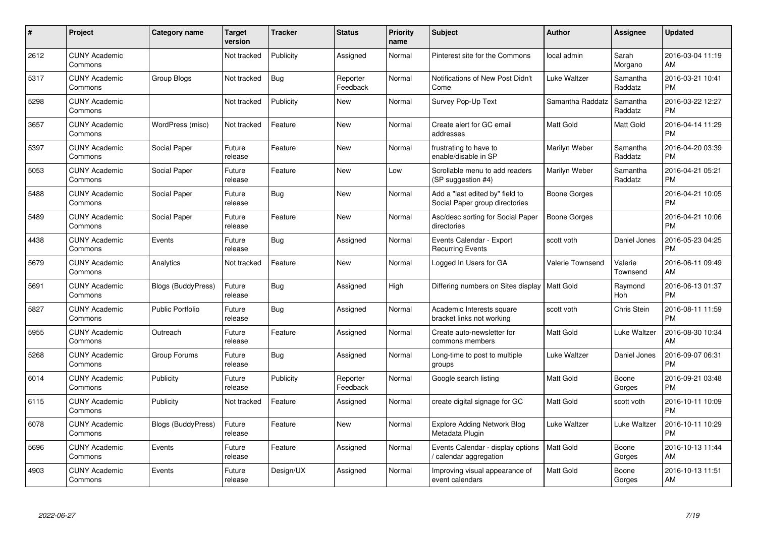| #    | Project                         | <b>Category name</b>      | <b>Target</b><br>version | <b>Tracker</b> | <b>Status</b>        | <b>Priority</b><br>name | <b>Subject</b>                                                    | <b>Author</b>           | <b>Assignee</b>     | <b>Updated</b>                |
|------|---------------------------------|---------------------------|--------------------------|----------------|----------------------|-------------------------|-------------------------------------------------------------------|-------------------------|---------------------|-------------------------------|
| 2612 | <b>CUNY Academic</b><br>Commons |                           | Not tracked              | Publicity      | Assigned             | Normal                  | Pinterest site for the Commons                                    | local admin             | Sarah<br>Morgano    | 2016-03-04 11:19<br>AM        |
| 5317 | <b>CUNY Academic</b><br>Commons | Group Blogs               | Not tracked              | Bug            | Reporter<br>Feedback | Normal                  | Notifications of New Post Didn't<br>Come                          | Luke Waltzer            | Samantha<br>Raddatz | 2016-03-21 10:41<br><b>PM</b> |
| 5298 | <b>CUNY Academic</b><br>Commons |                           | Not tracked              | Publicity      | <b>New</b>           | Normal                  | Survey Pop-Up Text                                                | Samantha Raddatz        | Samantha<br>Raddatz | 2016-03-22 12:27<br><b>PM</b> |
| 3657 | <b>CUNY Academic</b><br>Commons | WordPress (misc)          | Not tracked              | Feature        | <b>New</b>           | Normal                  | Create alert for GC email<br>addresses                            | Matt Gold               | <b>Matt Gold</b>    | 2016-04-14 11:29<br>PM        |
| 5397 | <b>CUNY Academic</b><br>Commons | Social Paper              | Future<br>release        | Feature        | <b>New</b>           | Normal                  | frustrating to have to<br>enable/disable in SP                    | Marilyn Weber           | Samantha<br>Raddatz | 2016-04-20 03:39<br><b>PM</b> |
| 5053 | <b>CUNY Academic</b><br>Commons | Social Paper              | Future<br>release        | Feature        | New                  | Low                     | Scrollable menu to add readers<br>(SP suggestion #4)              | Marilyn Weber           | Samantha<br>Raddatz | 2016-04-21 05:21<br>PМ        |
| 5488 | <b>CUNY Academic</b><br>Commons | Social Paper              | Future<br>release        | Bug            | <b>New</b>           | Normal                  | Add a "last edited by" field to<br>Social Paper group directories | <b>Boone Gorges</b>     |                     | 2016-04-21 10:05<br><b>PM</b> |
| 5489 | <b>CUNY Academic</b><br>Commons | <b>Social Paper</b>       | Future<br>release        | Feature        | <b>New</b>           | Normal                  | Asc/desc sorting for Social Paper<br>directories                  | <b>Boone Gorges</b>     |                     | 2016-04-21 10:06<br><b>PM</b> |
| 4438 | <b>CUNY Academic</b><br>Commons | Events                    | Future<br>release        | Bug            | Assigned             | Normal                  | Events Calendar - Export<br><b>Recurring Events</b>               | scott voth              | Daniel Jones        | 2016-05-23 04:25<br><b>PM</b> |
| 5679 | <b>CUNY Academic</b><br>Commons | Analytics                 | Not tracked              | Feature        | <b>New</b>           | Normal                  | Logged In Users for GA                                            | <b>Valerie Townsend</b> | Valerie<br>Townsend | 2016-06-11 09:49<br>AM        |
| 5691 | <b>CUNY Academic</b><br>Commons | Blogs (BuddyPress)        | Future<br>release        | Bug            | Assigned             | High                    | Differing numbers on Sites display                                | Matt Gold               | Raymond<br>Hoh      | 2016-06-13 01:37<br>PM        |
| 5827 | <b>CUNY Academic</b><br>Commons | <b>Public Portfolio</b>   | Future<br>release        | <b>Bug</b>     | Assigned             | Normal                  | Academic Interests square<br>bracket links not working            | scott voth              | Chris Stein         | 2016-08-11 11:59<br>РM        |
| 5955 | <b>CUNY Academic</b><br>Commons | Outreach                  | Future<br>release        | Feature        | Assigned             | Normal                  | Create auto-newsletter for<br>commons members                     | Matt Gold               | Luke Waltzer        | 2016-08-30 10:34<br>AM        |
| 5268 | <b>CUNY Academic</b><br>Commons | Group Forums              | Future<br>release        | Bug            | Assigned             | Normal                  | Long-time to post to multiple<br>groups                           | Luke Waltzer            | Daniel Jones        | 2016-09-07 06:31<br>PM        |
| 6014 | <b>CUNY Academic</b><br>Commons | Publicity                 | Future<br>release        | Publicity      | Reporter<br>Feedback | Normal                  | Google search listing                                             | Matt Gold               | Boone<br>Gorges     | 2016-09-21 03:48<br>PМ        |
| 6115 | <b>CUNY Academic</b><br>Commons | Publicity                 | Not tracked              | Feature        | Assigned             | Normal                  | create digital signage for GC                                     | Matt Gold               | scott voth          | 2016-10-11 10:09<br><b>PM</b> |
| 6078 | <b>CUNY Academic</b><br>Commons | <b>Blogs (BuddyPress)</b> | Future<br>release        | Feature        | New                  | Normal                  | <b>Explore Adding Network Blog</b><br>Metadata Plugin             | Luke Waltzer            | Luke Waltzer        | 2016-10-11 10:29<br>PM        |
| 5696 | <b>CUNY Academic</b><br>Commons | Events                    | Future<br>release        | Feature        | Assigned             | Normal                  | Events Calendar - display options<br>calendar aggregation         | Matt Gold               | Boone<br>Gorges     | 2016-10-13 11:44<br>AM        |
| 4903 | <b>CUNY Academic</b><br>Commons | Events                    | Future<br>release        | Design/UX      | Assigned             | Normal                  | Improving visual appearance of<br>event calendars                 | Matt Gold               | Boone<br>Gorges     | 2016-10-13 11:51<br>AM        |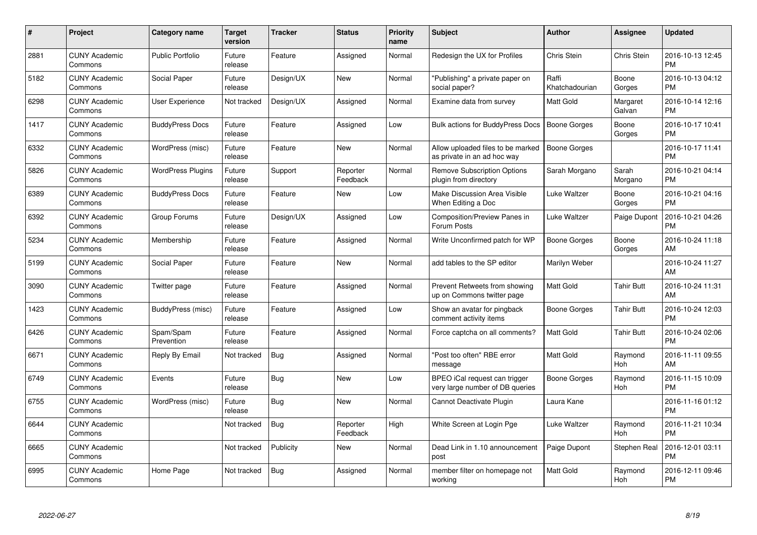| $\pmb{\#}$ | Project                         | <b>Category name</b>     | Target<br>version | <b>Tracker</b> | <b>Status</b>        | <b>Priority</b><br>name | <b>Subject</b>                                                   | Author                  | <b>Assignee</b>       | Updated                       |
|------------|---------------------------------|--------------------------|-------------------|----------------|----------------------|-------------------------|------------------------------------------------------------------|-------------------------|-----------------------|-------------------------------|
| 2881       | <b>CUNY Academic</b><br>Commons | <b>Public Portfolio</b>  | Future<br>release | Feature        | Assigned             | Normal                  | Redesign the UX for Profiles                                     | Chris Stein             | Chris Stein           | 2016-10-13 12:45<br><b>PM</b> |
| 5182       | <b>CUNY Academic</b><br>Commons | Social Paper             | Future<br>release | Design/UX      | <b>New</b>           | Normal                  | "Publishing" a private paper on<br>social paper?                 | Raffi<br>Khatchadourian | Boone<br>Gorges       | 2016-10-13 04:12<br><b>PM</b> |
| 6298       | <b>CUNY Academic</b><br>Commons | User Experience          | Not tracked       | Design/UX      | Assigned             | Normal                  | Examine data from survey                                         | Matt Gold               | Margaret<br>Galvan    | 2016-10-14 12:16<br><b>PM</b> |
| 1417       | <b>CUNY Academic</b><br>Commons | <b>BuddyPress Docs</b>   | Future<br>release | Feature        | Assigned             | Low                     | Bulk actions for BuddyPress Docs                                 | <b>Boone Gorges</b>     | Boone<br>Gorges       | 2016-10-17 10:41<br><b>PM</b> |
| 6332       | <b>CUNY Academic</b><br>Commons | WordPress (misc)         | Future<br>release | Feature        | <b>New</b>           | Normal                  | Allow uploaded files to be marked<br>as private in an ad hoc way | <b>Boone Gorges</b>     |                       | 2016-10-17 11:41<br><b>PM</b> |
| 5826       | <b>CUNY Academic</b><br>Commons | <b>WordPress Plugins</b> | Future<br>release | Support        | Reporter<br>Feedback | Normal                  | <b>Remove Subscription Options</b><br>plugin from directory      | Sarah Morgano           | Sarah<br>Morgano      | 2016-10-21 04:14<br>PМ        |
| 6389       | <b>CUNY Academic</b><br>Commons | <b>BuddyPress Docs</b>   | Future<br>release | Feature        | <b>New</b>           | Low                     | Make Discussion Area Visible<br>When Editing a Doc               | Luke Waltzer            | Boone<br>Gorges       | 2016-10-21 04:16<br>PM        |
| 6392       | <b>CUNY Academic</b><br>Commons | Group Forums             | Future<br>release | Design/UX      | Assigned             | Low                     | Composition/Preview Panes in<br>Forum Posts                      | Luke Waltzer            | Paige Dupont          | 2016-10-21 04:26<br>PM        |
| 5234       | <b>CUNY Academic</b><br>Commons | Membership               | Future<br>release | Feature        | Assigned             | Normal                  | Write Unconfirmed patch for WP                                   | Boone Gorges            | Boone<br>Gorges       | 2016-10-24 11:18<br>AM        |
| 5199       | <b>CUNY Academic</b><br>Commons | Social Paper             | Future<br>release | Feature        | <b>New</b>           | Normal                  | add tables to the SP editor                                      | Marilyn Weber           |                       | 2016-10-24 11:27<br>AM        |
| 3090       | <b>CUNY Academic</b><br>Commons | Twitter page             | Future<br>release | Feature        | Assigned             | Normal                  | Prevent Retweets from showing<br>up on Commons twitter page      | Matt Gold               | <b>Tahir Butt</b>     | 2016-10-24 11:31<br>AM        |
| 1423       | <b>CUNY Academic</b><br>Commons | BuddyPress (misc)        | Future<br>release | Feature        | Assigned             | Low                     | Show an avatar for pingback<br>comment activity items            | Boone Gorges            | <b>Tahir Butt</b>     | 2016-10-24 12:03<br><b>PM</b> |
| 6426       | <b>CUNY Academic</b><br>Commons | Spam/Spam<br>Prevention  | Future<br>release | Feature        | Assigned             | Normal                  | Force captcha on all comments?                                   | Matt Gold               | <b>Tahir Butt</b>     | 2016-10-24 02:06<br><b>PM</b> |
| 6671       | <b>CUNY Academic</b><br>Commons | Reply By Email           | Not tracked       | Bug            | Assigned             | Normal                  | "Post too often" RBE error<br>message                            | Matt Gold               | Raymond<br>Hoh        | 2016-11-11 09:55<br>AM        |
| 6749       | <b>CUNY Academic</b><br>Commons | Events                   | Future<br>release | <b>Bug</b>     | <b>New</b>           | Low                     | BPEO iCal request can trigger<br>very large number of DB queries | Boone Gorges            | Raymond<br>Hoh        | 2016-11-15 10:09<br>PM        |
| 6755       | <b>CUNY Academic</b><br>Commons | WordPress (misc)         | Future<br>release | <b>Bug</b>     | <b>New</b>           | Normal                  | Cannot Deactivate Plugin                                         | Laura Kane              |                       | 2016-11-16 01:12<br><b>PM</b> |
| 6644       | <b>CUNY Academic</b><br>Commons |                          | Not tracked       | Bug            | Reporter<br>Feedback | High                    | White Screen at Login Pge                                        | Luke Waltzer            | Raymond<br><b>Hoh</b> | 2016-11-21 10:34<br><b>PM</b> |
| 6665       | <b>CUNY Academic</b><br>Commons |                          | Not tracked       | Publicity      | New                  | Normal                  | Dead Link in 1.10 announcement<br>post                           | Paige Dupont            | <b>Stephen Real</b>   | 2016-12-01 03:11<br>PM        |
| 6995       | <b>CUNY Academic</b><br>Commons | Home Page                | Not tracked       | <b>Bug</b>     | Assigned             | Normal                  | member filter on homepage not<br>working                         | Matt Gold               | Raymond<br>Hoh        | 2016-12-11 09:46<br>PM        |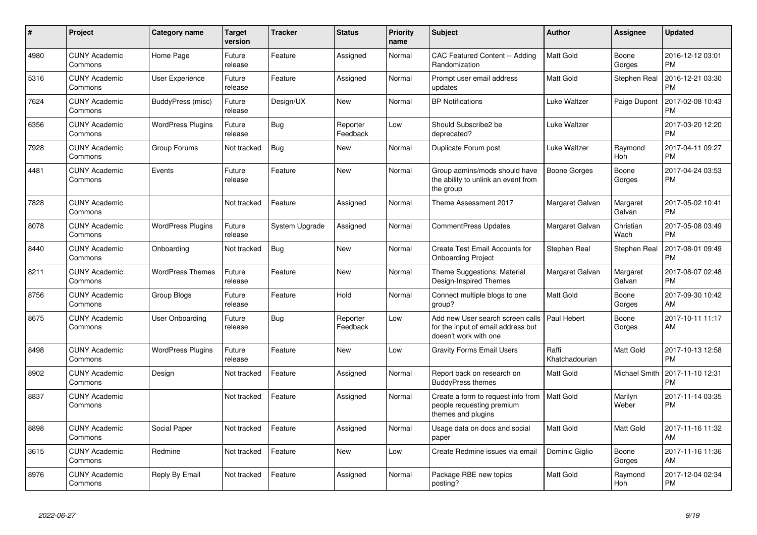| #    | <b>Project</b>                  | <b>Category name</b>     | <b>Target</b><br>version | Tracker        | <b>Status</b>        | Priority<br>name | <b>Subject</b>                                                                                  | <b>Author</b>           | Assignee           | <b>Updated</b>                |
|------|---------------------------------|--------------------------|--------------------------|----------------|----------------------|------------------|-------------------------------------------------------------------------------------------------|-------------------------|--------------------|-------------------------------|
| 4980 | <b>CUNY Academic</b><br>Commons | Home Page                | Future<br>release        | Feature        | Assigned             | Normal           | <b>CAC Featured Content -- Adding</b><br>Randomization                                          | Matt Gold               | Boone<br>Gorges    | 2016-12-12 03:01<br><b>PM</b> |
| 5316 | <b>CUNY Academic</b><br>Commons | <b>User Experience</b>   | Future<br>release        | Feature        | Assigned             | Normal           | Prompt user email address<br>updates                                                            | Matt Gold               | Stephen Real       | 2016-12-21 03:30<br><b>PM</b> |
| 7624 | <b>CUNY Academic</b><br>Commons | BuddyPress (misc)        | Future<br>release        | Design/UX      | <b>New</b>           | Normal           | <b>BP</b> Notifications                                                                         | Luke Waltzer            | Paige Dupont       | 2017-02-08 10:43<br>PM        |
| 6356 | <b>CUNY Academic</b><br>Commons | <b>WordPress Plugins</b> | Future<br>release        | <b>Bug</b>     | Reporter<br>Feedback | Low              | Should Subscribe2 be<br>deprecated?                                                             | Luke Waltzer            |                    | 2017-03-20 12:20<br><b>PM</b> |
| 7928 | <b>CUNY Academic</b><br>Commons | Group Forums             | Not tracked              | <b>Bug</b>     | New                  | Normal           | Duplicate Forum post                                                                            | Luke Waltzer            | Raymond<br>Hoh     | 2017-04-11 09:27<br><b>PM</b> |
| 4481 | <b>CUNY Academic</b><br>Commons | Events                   | Future<br>release        | Feature        | <b>New</b>           | Normal           | Group admins/mods should have<br>the ability to unlink an event from<br>the group               | Boone Gorges            | Boone<br>Gorges    | 2017-04-24 03:53<br><b>PM</b> |
| 7828 | <b>CUNY Academic</b><br>Commons |                          | Not tracked              | Feature        | Assigned             | Normal           | Theme Assessment 2017                                                                           | Margaret Galvan         | Margaret<br>Galvan | 2017-05-02 10:41<br><b>PM</b> |
| 8078 | <b>CUNY Academic</b><br>Commons | <b>WordPress Plugins</b> | Future<br>release        | System Upgrade | Assigned             | Normal           | <b>CommentPress Updates</b>                                                                     | Margaret Galvan         | Christian<br>Wach  | 2017-05-08 03:49<br><b>PM</b> |
| 8440 | <b>CUNY Academic</b><br>Commons | Onboarding               | Not tracked              | <b>Bug</b>     | <b>New</b>           | Normal           | <b>Create Test Email Accounts for</b><br><b>Onboarding Project</b>                              | Stephen Real            | Stephen Real       | 2017-08-01 09:49<br>PM        |
| 8211 | <b>CUNY Academic</b><br>Commons | <b>WordPress Themes</b>  | Future<br>release        | Feature        | <b>New</b>           | Normal           | Theme Suggestions: Material<br>Design-Inspired Themes                                           | Margaret Galvan         | Margaret<br>Galvan | 2017-08-07 02:48<br><b>PM</b> |
| 8756 | <b>CUNY Academic</b><br>Commons | Group Blogs              | Future<br>release        | Feature        | Hold                 | Normal           | Connect multiple blogs to one<br>group?                                                         | Matt Gold               | Boone<br>Gorges    | 2017-09-30 10:42<br>AM        |
| 8675 | <b>CUNY Academic</b><br>Commons | User Onboarding          | Future<br>release        | <b>Bug</b>     | Reporter<br>Feedback | Low              | Add new User search screen calls<br>for the input of email address but<br>doesn't work with one | Paul Hebert             | Boone<br>Gorges    | 2017-10-11 11:17<br>AM        |
| 8498 | <b>CUNY Academic</b><br>Commons | <b>WordPress Plugins</b> | Future<br>release        | Feature        | <b>New</b>           | Low              | <b>Gravity Forms Email Users</b>                                                                | Raffi<br>Khatchadourian | Matt Gold          | 2017-10-13 12:58<br><b>PM</b> |
| 8902 | <b>CUNY Academic</b><br>Commons | Design                   | Not tracked              | Feature        | Assigned             | Normal           | Report back on research on<br><b>BuddyPress themes</b>                                          | Matt Gold               | Michael Smith      | 2017-11-10 12:31<br>PM        |
| 8837 | <b>CUNY Academic</b><br>Commons |                          | Not tracked              | Feature        | Assigned             | Normal           | Create a form to request info from<br>people requesting premium<br>themes and plugins           | <b>Matt Gold</b>        | Marilyn<br>Weber   | 2017-11-14 03:35<br><b>PM</b> |
| 8898 | <b>CUNY Academic</b><br>Commons | Social Paper             | Not tracked              | Feature        | Assigned             | Normal           | Usage data on docs and social<br>paper                                                          | Matt Gold               | <b>Matt Gold</b>   | 2017-11-16 11:32<br>AM        |
| 3615 | <b>CUNY Academic</b><br>Commons | Redmine                  | Not tracked              | Feature        | <b>New</b>           | Low              | Create Redmine issues via email                                                                 | Dominic Giglio          | Boone<br>Gorges    | 2017-11-16 11:36<br>AM        |
| 8976 | <b>CUNY Academic</b><br>Commons | Reply By Email           | Not tracked              | Feature        | Assigned             | Normal           | Package RBE new topics<br>posting?                                                              | Matt Gold               | Raymond<br>Hoh     | 2017-12-04 02:34<br><b>PM</b> |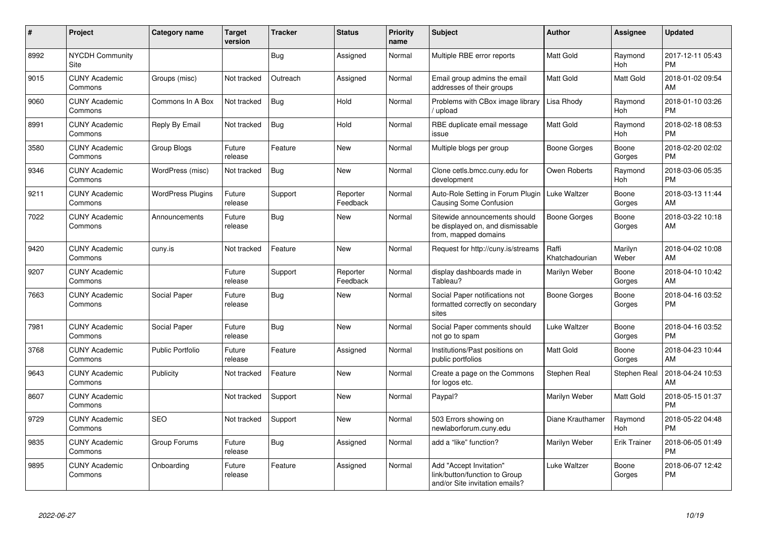| $\pmb{\#}$ | Project                         | <b>Category name</b>     | <b>Target</b><br>version | Tracker    | <b>Status</b>        | <b>Priority</b><br>name | <b>Subject</b>                                                                             | <b>Author</b>           | Assignee              | <b>Updated</b>                |
|------------|---------------------------------|--------------------------|--------------------------|------------|----------------------|-------------------------|--------------------------------------------------------------------------------------------|-------------------------|-----------------------|-------------------------------|
| 8992       | <b>NYCDH Community</b><br>Site  |                          |                          | Bug        | Assigned             | Normal                  | Multiple RBE error reports                                                                 | Matt Gold               | Raymond<br>Hoh        | 2017-12-11 05:43<br><b>PM</b> |
| 9015       | <b>CUNY Academic</b><br>Commons | Groups (misc)            | Not tracked              | Outreach   | Assigned             | Normal                  | Email group admins the email<br>addresses of their groups                                  | Matt Gold               | <b>Matt Gold</b>      | 2018-01-02 09:54<br>AM        |
| 9060       | <b>CUNY Academic</b><br>Commons | Commons In A Box         | Not tracked              | Bug        | Hold                 | Normal                  | Problems with CBox image library<br>/ upload                                               | Lisa Rhody              | Raymond<br>Hoh        | 2018-01-10 03:26<br>PM        |
| 8991       | <b>CUNY Academic</b><br>Commons | Reply By Email           | Not tracked              | <b>Bug</b> | Hold                 | Normal                  | RBE duplicate email message<br>issue                                                       | Matt Gold               | Raymond<br>Hoh        | 2018-02-18 08:53<br><b>PM</b> |
| 3580       | <b>CUNY Academic</b><br>Commons | Group Blogs              | Future<br>release        | Feature    | <b>New</b>           | Normal                  | Multiple blogs per group                                                                   | <b>Boone Gorges</b>     | Boone<br>Gorges       | 2018-02-20 02:02<br>PМ        |
| 9346       | <b>CUNY Academic</b><br>Commons | WordPress (misc)         | Not tracked              | Bug        | <b>New</b>           | Normal                  | Clone cetls.bmcc.cuny.edu for<br>development                                               | Owen Roberts            | Raymond<br><b>Hoh</b> | 2018-03-06 05:35<br><b>PM</b> |
| 9211       | <b>CUNY Academic</b><br>Commons | <b>WordPress Plugins</b> | Future<br>release        | Support    | Reporter<br>Feedback | Normal                  | Auto-Role Setting in Forum Plugin<br><b>Causing Some Confusion</b>                         | Luke Waltzer            | Boone<br>Gorges       | 2018-03-13 11:44<br>AM        |
| 7022       | <b>CUNY Academic</b><br>Commons | Announcements            | Future<br>release        | Bug        | <b>New</b>           | Normal                  | Sitewide announcements should<br>be displayed on, and dismissable<br>from, mapped domains  | Boone Gorges            | Boone<br>Gorges       | 2018-03-22 10:18<br>AM        |
| 9420       | <b>CUNY Academic</b><br>Commons | cuny.is                  | Not tracked              | Feature    | <b>New</b>           | Normal                  | Request for http://cuny.is/streams                                                         | Raffi<br>Khatchadourian | Marilyn<br>Weber      | 2018-04-02 10:08<br>AM        |
| 9207       | <b>CUNY Academic</b><br>Commons |                          | Future<br>release        | Support    | Reporter<br>Feedback | Normal                  | display dashboards made in<br>Tableau?                                                     | Marilyn Weber           | Boone<br>Gorges       | 2018-04-10 10:42<br>AM        |
| 7663       | <b>CUNY Academic</b><br>Commons | Social Paper             | Future<br>release        | Bug        | <b>New</b>           | Normal                  | Social Paper notifications not<br>formatted correctly on secondary<br>sites                | Boone Gorges            | Boone<br>Gorges       | 2018-04-16 03:52<br><b>PM</b> |
| 7981       | <b>CUNY Academic</b><br>Commons | Social Paper             | Future<br>release        | Bug        | <b>New</b>           | Normal                  | Social Paper comments should<br>not go to spam                                             | Luke Waltzer            | Boone<br>Gorges       | 2018-04-16 03:52<br><b>PM</b> |
| 3768       | <b>CUNY Academic</b><br>Commons | <b>Public Portfolio</b>  | Future<br>release        | Feature    | Assigned             | Normal                  | Institutions/Past positions on<br>public portfolios                                        | Matt Gold               | Boone<br>Gorges       | 2018-04-23 10:44<br>AM        |
| 9643       | <b>CUNY Academic</b><br>Commons | Publicity                | Not tracked              | Feature    | <b>New</b>           | Normal                  | Create a page on the Commons<br>for logos etc.                                             | Stephen Real            | Stephen Real          | 2018-04-24 10:53<br>AМ        |
| 8607       | <b>CUNY Academic</b><br>Commons |                          | Not tracked              | Support    | <b>New</b>           | Normal                  | Paypal?                                                                                    | Marilyn Weber           | Matt Gold             | 2018-05-15 01:37<br><b>PM</b> |
| 9729       | <b>CUNY Academic</b><br>Commons | <b>SEO</b>               | Not tracked              | Support    | <b>New</b>           | Normal                  | 503 Errors showing on<br>newlaborforum.cuny.edu                                            | Diane Krauthamer        | Raymond<br>Hoh        | 2018-05-22 04:48<br>PM        |
| 9835       | <b>CUNY Academic</b><br>Commons | Group Forums             | Future<br>release        | Bug        | Assigned             | Normal                  | add a "like" function?                                                                     | Marilyn Weber           | <b>Erik Trainer</b>   | 2018-06-05 01:49<br><b>PM</b> |
| 9895       | <b>CUNY Academic</b><br>Commons | Onboarding               | Future<br>release        | Feature    | Assigned             | Normal                  | Add "Accept Invitation"<br>link/button/function to Group<br>and/or Site invitation emails? | Luke Waltzer            | Boone<br>Gorges       | 2018-06-07 12:42<br>РM        |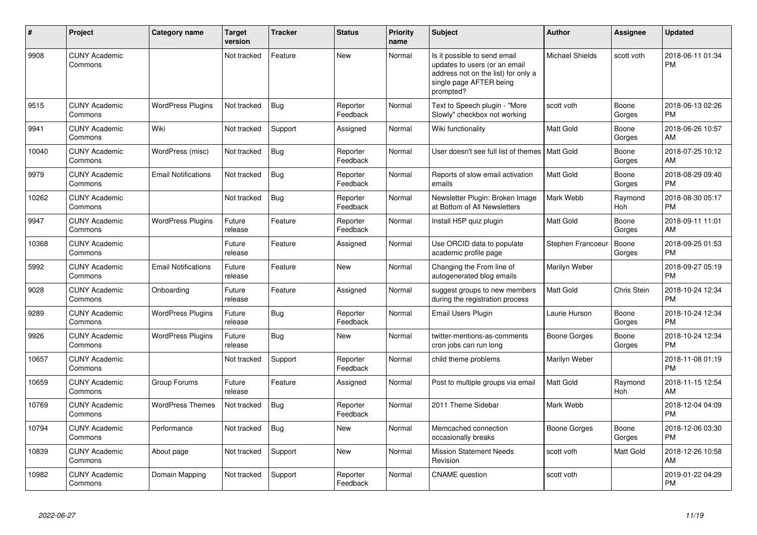| $\#$  | <b>Project</b>                  | <b>Category name</b>       | <b>Target</b><br>version | <b>Tracker</b> | <b>Status</b>        | Priority<br>name | <b>Subject</b>                                                                                                                               | <b>Author</b>          | Assignee              | <b>Updated</b>                |
|-------|---------------------------------|----------------------------|--------------------------|----------------|----------------------|------------------|----------------------------------------------------------------------------------------------------------------------------------------------|------------------------|-----------------------|-------------------------------|
| 9908  | <b>CUNY Academic</b><br>Commons |                            | Not tracked              | Feature        | <b>New</b>           | Normal           | Is it possible to send email<br>updates to users (or an email<br>address not on the list) for only a<br>single page AFTER being<br>prompted? | <b>Michael Shields</b> | scott voth            | 2018-06-11 01:34<br><b>PM</b> |
| 9515  | <b>CUNY Academic</b><br>Commons | <b>WordPress Plugins</b>   | Not tracked              | Bug            | Reporter<br>Feedback | Normal           | Text to Speech plugin - "More<br>Slowly" checkbox not working                                                                                | scott voth             | Boone<br>Gorges       | 2018-06-13 02:26<br><b>PM</b> |
| 9941  | <b>CUNY Academic</b><br>Commons | Wiki                       | Not tracked              | Support        | Assigned             | Normal           | Wiki functionality                                                                                                                           | Matt Gold              | Boone<br>Gorges       | 2018-06-26 10:57<br>AM        |
| 10040 | <b>CUNY Academic</b><br>Commons | WordPress (misc)           | Not tracked              | Bug            | Reporter<br>Feedback | Normal           | User doesn't see full list of themes                                                                                                         | <b>Matt Gold</b>       | Boone<br>Gorges       | 2018-07-25 10:12<br>AM        |
| 9979  | <b>CUNY Academic</b><br>Commons | <b>Email Notifications</b> | Not tracked              | Bug            | Reporter<br>Feedback | Normal           | Reports of slow email activation<br>emails                                                                                                   | Matt Gold              | Boone<br>Gorges       | 2018-08-29 09:40<br><b>PM</b> |
| 10262 | <b>CUNY Academic</b><br>Commons |                            | Not tracked              | <b>Bug</b>     | Reporter<br>Feedback | Normal           | Newsletter Plugin: Broken Image<br>at Bottom of All Newsletters                                                                              | Mark Webb              | Raymond<br>Hoh        | 2018-08-30 05:17<br><b>PM</b> |
| 9947  | <b>CUNY Academic</b><br>Commons | <b>WordPress Plugins</b>   | Future<br>release        | Feature        | Reporter<br>Feedback | Normal           | Install H5P quiz plugin                                                                                                                      | Matt Gold              | Boone<br>Gorges       | 2018-09-11 11:01<br>AM        |
| 10368 | <b>CUNY Academic</b><br>Commons |                            | Future<br>release        | Feature        | Assigned             | Normal           | Use ORCID data to populate<br>academic profile page                                                                                          | Stephen Francoeur      | Boone<br>Gorges       | 2018-09-25 01:53<br><b>PM</b> |
| 5992  | <b>CUNY Academic</b><br>Commons | <b>Email Notifications</b> | Future<br>release        | Feature        | <b>New</b>           | Normal           | Changing the From line of<br>autogenerated blog emails                                                                                       | Marilyn Weber          |                       | 2018-09-27 05:19<br><b>PM</b> |
| 9028  | <b>CUNY Academic</b><br>Commons | Onboarding                 | Future<br>release        | Feature        | Assigned             | Normal           | suggest groups to new members<br>during the registration process                                                                             | Matt Gold              | Chris Stein           | 2018-10-24 12:34<br><b>PM</b> |
| 9289  | <b>CUNY Academic</b><br>Commons | <b>WordPress Plugins</b>   | Future<br>release        | <b>Bug</b>     | Reporter<br>Feedback | Normal           | Email Users Plugin                                                                                                                           | Laurie Hurson          | Boone<br>Gorges       | 2018-10-24 12:34<br><b>PM</b> |
| 9926  | <b>CUNY Academic</b><br>Commons | <b>WordPress Plugins</b>   | Future<br>release        | Bug            | <b>New</b>           | Normal           | twitter-mentions-as-comments<br>cron jobs can run long                                                                                       | Boone Gorges           | Boone<br>Gorges       | 2018-10-24 12:34<br><b>PM</b> |
| 10657 | <b>CUNY Academic</b><br>Commons |                            | Not tracked              | Support        | Reporter<br>Feedback | Normal           | child theme problems                                                                                                                         | Marilyn Weber          |                       | 2018-11-08 01:19<br><b>PM</b> |
| 10659 | <b>CUNY Academic</b><br>Commons | Group Forums               | Future<br>release        | Feature        | Assigned             | Normal           | Post to multiple groups via email                                                                                                            | Matt Gold              | Raymond<br><b>Hoh</b> | 2018-11-15 12:54<br>AM        |
| 10769 | <b>CUNY Academic</b><br>Commons | <b>WordPress Themes</b>    | Not tracked              | Bug            | Reporter<br>Feedback | Normal           | 2011 Theme Sidebar                                                                                                                           | Mark Webb              |                       | 2018-12-04 04:09<br><b>PM</b> |
| 10794 | <b>CUNY Academic</b><br>Commons | Performance                | Not tracked              | <b>Bug</b>     | New                  | Normal           | Memcached connection<br>occasionally breaks                                                                                                  | Boone Gorges           | Boone<br>Gorges       | 2018-12-06 03:30<br><b>PM</b> |
| 10839 | <b>CUNY Academic</b><br>Commons | About page                 | Not tracked              | Support        | <b>New</b>           | Normal           | <b>Mission Statement Needs</b><br>Revision                                                                                                   | scott voth             | <b>Matt Gold</b>      | 2018-12-26 10:58<br>AM        |
| 10982 | <b>CUNY Academic</b><br>Commons | Domain Mapping             | Not tracked              | Support        | Reporter<br>Feedback | Normal           | <b>CNAME</b> question                                                                                                                        | scott voth             |                       | 2019-01-22 04:29<br><b>PM</b> |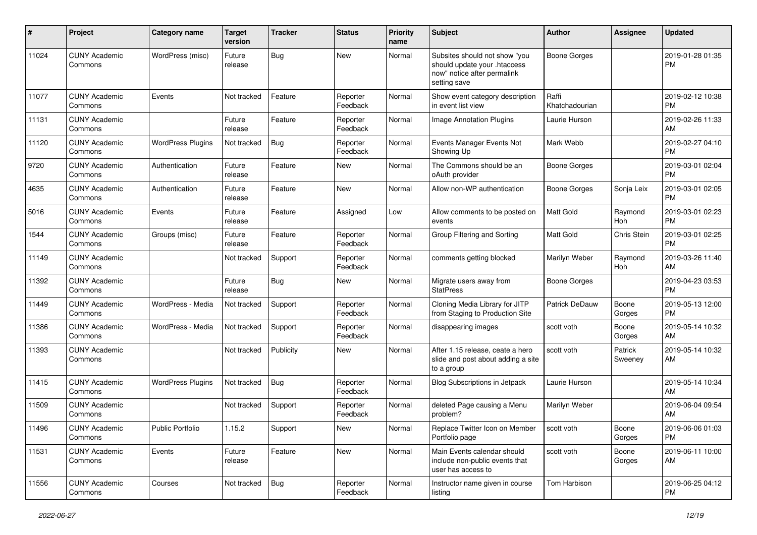| #     | Project                         | <b>Category name</b>     | <b>Target</b><br>version | <b>Tracker</b> | <b>Status</b>        | <b>Priority</b><br>name | <b>Subject</b>                                                                                               | <b>Author</b>           | <b>Assignee</b>    | <b>Updated</b>                |
|-------|---------------------------------|--------------------------|--------------------------|----------------|----------------------|-------------------------|--------------------------------------------------------------------------------------------------------------|-------------------------|--------------------|-------------------------------|
| 11024 | <b>CUNY Academic</b><br>Commons | WordPress (misc)         | Future<br>release        | Bug            | <b>New</b>           | Normal                  | Subsites should not show "you<br>should update your .htaccess<br>now" notice after permalink<br>setting save | <b>Boone Gorges</b>     |                    | 2019-01-28 01:35<br><b>PM</b> |
| 11077 | <b>CUNY Academic</b><br>Commons | Events                   | Not tracked              | Feature        | Reporter<br>Feedback | Normal                  | Show event category description<br>in event list view                                                        | Raffi<br>Khatchadourian |                    | 2019-02-12 10:38<br><b>PM</b> |
| 11131 | <b>CUNY Academic</b><br>Commons |                          | Future<br>release        | Feature        | Reporter<br>Feedback | Normal                  | Image Annotation Plugins                                                                                     | Laurie Hurson           |                    | 2019-02-26 11:33<br>AM        |
| 11120 | <b>CUNY Academic</b><br>Commons | <b>WordPress Plugins</b> | Not tracked              | <b>Bug</b>     | Reporter<br>Feedback | Normal                  | Events Manager Events Not<br>Showing Up                                                                      | Mark Webb               |                    | 2019-02-27 04:10<br><b>PM</b> |
| 9720  | <b>CUNY Academic</b><br>Commons | Authentication           | Future<br>release        | Feature        | New                  | Normal                  | The Commons should be an<br>oAuth provider                                                                   | <b>Boone Gorges</b>     |                    | 2019-03-01 02:04<br><b>PM</b> |
| 4635  | <b>CUNY Academic</b><br>Commons | Authentication           | Future<br>release        | Feature        | <b>New</b>           | Normal                  | Allow non-WP authentication                                                                                  | Boone Gorges            | Sonja Leix         | 2019-03-01 02:05<br><b>PM</b> |
| 5016  | <b>CUNY Academic</b><br>Commons | Events                   | Future<br>release        | Feature        | Assigned             | Low                     | Allow comments to be posted on<br>events                                                                     | <b>Matt Gold</b>        | Raymond<br>Hoh     | 2019-03-01 02:23<br><b>PM</b> |
| 1544  | <b>CUNY Academic</b><br>Commons | Groups (misc)            | Future<br>release        | Feature        | Reporter<br>Feedback | Normal                  | Group Filtering and Sorting                                                                                  | Matt Gold               | Chris Stein        | 2019-03-01 02:25<br><b>PM</b> |
| 11149 | <b>CUNY Academic</b><br>Commons |                          | Not tracked              | Support        | Reporter<br>Feedback | Normal                  | comments getting blocked                                                                                     | Marilyn Weber           | Raymond<br>Hoh     | 2019-03-26 11:40<br>AM        |
| 11392 | <b>CUNY Academic</b><br>Commons |                          | Future<br>release        | <b>Bug</b>     | New                  | Normal                  | Migrate users away from<br><b>StatPress</b>                                                                  | <b>Boone Gorges</b>     |                    | 2019-04-23 03:53<br><b>PM</b> |
| 11449 | <b>CUNY Academic</b><br>Commons | WordPress - Media        | Not tracked              | Support        | Reporter<br>Feedback | Normal                  | Cloning Media Library for JITP<br>from Staging to Production Site                                            | <b>Patrick DeDauw</b>   | Boone<br>Gorges    | 2019-05-13 12:00<br><b>PM</b> |
| 11386 | <b>CUNY Academic</b><br>Commons | WordPress - Media        | Not tracked              | Support        | Reporter<br>Feedback | Normal                  | disappearing images                                                                                          | scott voth              | Boone<br>Gorges    | 2019-05-14 10:32<br>AM        |
| 11393 | <b>CUNY Academic</b><br>Commons |                          | Not tracked              | Publicity      | New                  | Normal                  | After 1.15 release, ceate a hero<br>slide and post about adding a site<br>to a group                         | scott voth              | Patrick<br>Sweeney | 2019-05-14 10:32<br>AM        |
| 11415 | <b>CUNY Academic</b><br>Commons | <b>WordPress Plugins</b> | Not tracked              | Bug            | Reporter<br>Feedback | Normal                  | <b>Blog Subscriptions in Jetpack</b>                                                                         | Laurie Hurson           |                    | 2019-05-14 10:34<br>AM        |
| 11509 | <b>CUNY Academic</b><br>Commons |                          | Not tracked              | Support        | Reporter<br>Feedback | Normal                  | deleted Page causing a Menu<br>problem?                                                                      | Marilyn Weber           |                    | 2019-06-04 09:54<br>AM        |
| 11496 | <b>CUNY Academic</b><br>Commons | Public Portfolio         | 1.15.2                   | Support        | New                  | Normal                  | Replace Twitter Icon on Member<br>Portfolio page                                                             | scott voth              | Boone<br>Gorges    | 2019-06-06 01:03<br><b>PM</b> |
| 11531 | <b>CUNY Academic</b><br>Commons | Events                   | Future<br>release        | Feature        | New                  | Normal                  | Main Events calendar should<br>include non-public events that<br>user has access to                          | scott voth              | Boone<br>Gorges    | 2019-06-11 10:00<br>AM        |
| 11556 | <b>CUNY Academic</b><br>Commons | Courses                  | Not tracked              | Bug            | Reporter<br>Feedback | Normal                  | Instructor name given in course<br>listing                                                                   | Tom Harbison            |                    | 2019-06-25 04:12<br>PM        |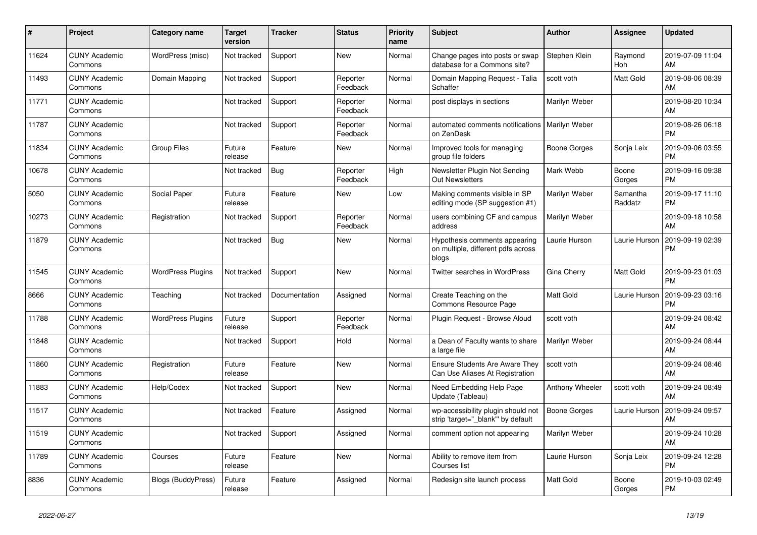| #     | <b>Project</b>                  | <b>Category name</b>      | <b>Target</b><br>version | Tracker       | <b>Status</b>        | <b>Priority</b><br>name | <b>Subject</b>                                                               | <b>Author</b>       | Assignee              | <b>Updated</b>                |
|-------|---------------------------------|---------------------------|--------------------------|---------------|----------------------|-------------------------|------------------------------------------------------------------------------|---------------------|-----------------------|-------------------------------|
| 11624 | <b>CUNY Academic</b><br>Commons | WordPress (misc)          | Not tracked              | Support       | <b>New</b>           | Normal                  | Change pages into posts or swap<br>database for a Commons site?              | Stephen Klein       | Raymond<br><b>Hoh</b> | 2019-07-09 11:04<br>AM        |
| 11493 | <b>CUNY Academic</b><br>Commons | Domain Mapping            | Not tracked              | Support       | Reporter<br>Feedback | Normal                  | Domain Mapping Request - Talia<br>Schaffer                                   | scott voth          | Matt Gold             | 2019-08-06 08:39<br>AM        |
| 11771 | <b>CUNY Academic</b><br>Commons |                           | Not tracked              | Support       | Reporter<br>Feedback | Normal                  | post displays in sections                                                    | Marilyn Weber       |                       | 2019-08-20 10:34<br>AM        |
| 11787 | <b>CUNY Academic</b><br>Commons |                           | Not tracked              | Support       | Reporter<br>Feedback | Normal                  | automated comments notifications<br>on ZenDesk                               | Marilyn Weber       |                       | 2019-08-26 06:18<br><b>PM</b> |
| 11834 | <b>CUNY Academic</b><br>Commons | <b>Group Files</b>        | Future<br>release        | Feature       | <b>New</b>           | Normal                  | Improved tools for managing<br>group file folders                            | Boone Gorges        | Sonja Leix            | 2019-09-06 03:55<br><b>PM</b> |
| 10678 | <b>CUNY Academic</b><br>Commons |                           | Not tracked              | <b>Bug</b>    | Reporter<br>Feedback | High                    | Newsletter Plugin Not Sending<br><b>Out Newsletters</b>                      | Mark Webb           | Boone<br>Gorges       | 2019-09-16 09:38<br><b>PM</b> |
| 5050  | <b>CUNY Academic</b><br>Commons | Social Paper              | Future<br>release        | Feature       | <b>New</b>           | Low                     | Making comments visible in SP<br>editing mode (SP suggestion #1)             | Marilyn Weber       | Samantha<br>Raddatz   | 2019-09-17 11:10<br><b>PM</b> |
| 10273 | <b>CUNY Academic</b><br>Commons | Registration              | Not tracked              | Support       | Reporter<br>Feedback | Normal                  | users combining CF and campus<br>address                                     | Marilyn Weber       |                       | 2019-09-18 10:58<br>AM        |
| 11879 | <b>CUNY Academic</b><br>Commons |                           | Not tracked              | <b>Bug</b>    | <b>New</b>           | Normal                  | Hypothesis comments appearing<br>on multiple, different pdfs across<br>blogs | Laurie Hurson       | Laurie Hurson         | 2019-09-19 02:39<br><b>PM</b> |
| 11545 | <b>CUNY Academic</b><br>Commons | <b>WordPress Plugins</b>  | Not tracked              | Support       | <b>New</b>           | Normal                  | Twitter searches in WordPress                                                | Gina Cherry         | Matt Gold             | 2019-09-23 01:03<br><b>PM</b> |
| 8666  | <b>CUNY Academic</b><br>Commons | Teaching                  | Not tracked              | Documentation | Assigned             | Normal                  | Create Teaching on the<br>Commons Resource Page                              | Matt Gold           | Laurie Hurson         | 2019-09-23 03:16<br><b>PM</b> |
| 11788 | <b>CUNY Academic</b><br>Commons | <b>WordPress Plugins</b>  | Future<br>release        | Support       | Reporter<br>Feedback | Normal                  | Plugin Request - Browse Aloud                                                | scott voth          |                       | 2019-09-24 08:42<br>AM        |
| 11848 | <b>CUNY Academic</b><br>Commons |                           | Not tracked              | Support       | Hold                 | Normal                  | a Dean of Faculty wants to share<br>a large file                             | Marilyn Weber       |                       | 2019-09-24 08:44<br>AM        |
| 11860 | <b>CUNY Academic</b><br>Commons | Registration              | Future<br>release        | Feature       | <b>New</b>           | Normal                  | Ensure Students Are Aware They<br>Can Use Aliases At Registration            | scott voth          |                       | 2019-09-24 08:46<br>AM        |
| 11883 | <b>CUNY Academic</b><br>Commons | Help/Codex                | Not tracked              | Support       | <b>New</b>           | Normal                  | Need Embedding Help Page<br>Update (Tableau)                                 | Anthony Wheeler     | scott voth            | 2019-09-24 08:49<br>AM        |
| 11517 | <b>CUNY Academic</b><br>Commons |                           | Not tracked              | Feature       | Assigned             | Normal                  | wp-accessibility plugin should not<br>strip 'target="_blank"' by default     | <b>Boone Gorges</b> | Laurie Hurson         | 2019-09-24 09:57<br>AM        |
| 11519 | <b>CUNY Academic</b><br>Commons |                           | Not tracked              | Support       | Assigned             | Normal                  | comment option not appearing                                                 | Marilyn Weber       |                       | 2019-09-24 10:28<br>AM        |
| 11789 | <b>CUNY Academic</b><br>Commons | Courses                   | Future<br>release        | Feature       | <b>New</b>           | Normal                  | Ability to remove item from<br>Courses list                                  | Laurie Hurson       | Sonja Leix            | 2019-09-24 12:28<br><b>PM</b> |
| 8836  | <b>CUNY Academic</b><br>Commons | <b>Blogs (BuddyPress)</b> | Future<br>release        | Feature       | Assigned             | Normal                  | Redesign site launch process                                                 | Matt Gold           | Boone<br>Gorges       | 2019-10-03 02:49<br><b>PM</b> |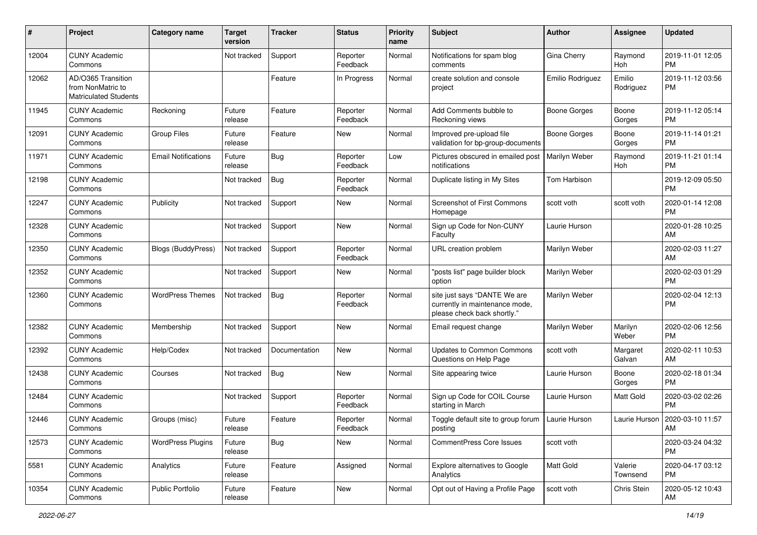| #     | Project                                                                 | <b>Category name</b>       | <b>Target</b><br>version | <b>Tracker</b> | <b>Status</b>        | <b>Priority</b><br>name | <b>Subject</b>                                                                                | <b>Author</b>       | <b>Assignee</b>     | <b>Updated</b>                |
|-------|-------------------------------------------------------------------------|----------------------------|--------------------------|----------------|----------------------|-------------------------|-----------------------------------------------------------------------------------------------|---------------------|---------------------|-------------------------------|
| 12004 | <b>CUNY Academic</b><br>Commons                                         |                            | Not tracked              | Support        | Reporter<br>Feedback | Normal                  | Notifications for spam blog<br>comments                                                       | Gina Cherry         | Raymond<br>Hoh      | 2019-11-01 12:05<br><b>PM</b> |
| 12062 | AD/O365 Transition<br>from NonMatric to<br><b>Matriculated Students</b> |                            |                          | Feature        | In Progress          | Normal                  | create solution and console<br>project                                                        | Emilio Rodriguez    | Emilio<br>Rodriguez | 2019-11-12 03:56<br><b>PM</b> |
| 11945 | <b>CUNY Academic</b><br>Commons                                         | Reckoning                  | Future<br>release        | Feature        | Reporter<br>Feedback | Normal                  | Add Comments bubble to<br>Reckoning views                                                     | <b>Boone Gorges</b> | Boone<br>Gorges     | 2019-11-12 05:14<br><b>PM</b> |
| 12091 | <b>CUNY Academic</b><br>Commons                                         | <b>Group Files</b>         | Future<br>release        | Feature        | New                  | Normal                  | Improved pre-upload file<br>validation for bp-group-documents                                 | <b>Boone Gorges</b> | Boone<br>Gorges     | 2019-11-14 01:21<br><b>PM</b> |
| 11971 | <b>CUNY Academic</b><br>Commons                                         | <b>Email Notifications</b> | Future<br>release        | Bug            | Reporter<br>Feedback | Low                     | Pictures obscured in emailed post<br>notifications                                            | Marilyn Weber       | Raymond<br>Hoh      | 2019-11-21 01:14<br><b>PM</b> |
| 12198 | <b>CUNY Academic</b><br>Commons                                         |                            | Not tracked              | <b>Bug</b>     | Reporter<br>Feedback | Normal                  | Duplicate listing in My Sites                                                                 | Tom Harbison        |                     | 2019-12-09 05:50<br><b>PM</b> |
| 12247 | <b>CUNY Academic</b><br>Commons                                         | Publicity                  | Not tracked              | Support        | New                  | Normal                  | <b>Screenshot of First Commons</b><br>Homepage                                                | scott voth          | scott voth          | 2020-01-14 12:08<br><b>PM</b> |
| 12328 | <b>CUNY Academic</b><br>Commons                                         |                            | Not tracked              | Support        | New                  | Normal                  | Sign up Code for Non-CUNY<br>Faculty                                                          | Laurie Hurson       |                     | 2020-01-28 10:25<br>AM        |
| 12350 | <b>CUNY Academic</b><br>Commons                                         | <b>Blogs (BuddyPress)</b>  | Not tracked              | Support        | Reporter<br>Feedback | Normal                  | URL creation problem                                                                          | Marilyn Weber       |                     | 2020-02-03 11:27<br>AM        |
| 12352 | <b>CUNY Academic</b><br>Commons                                         |                            | Not tracked              | Support        | New                  | Normal                  | "posts list" page builder block<br>option                                                     | Marilyn Weber       |                     | 2020-02-03 01:29<br><b>PM</b> |
| 12360 | <b>CUNY Academic</b><br>Commons                                         | <b>WordPress Themes</b>    | Not tracked              | <b>Bug</b>     | Reporter<br>Feedback | Normal                  | site just says "DANTE We are<br>currently in maintenance mode,<br>please check back shortly." | Marilyn Weber       |                     | 2020-02-04 12:13<br>PM        |
| 12382 | <b>CUNY Academic</b><br>Commons                                         | Membership                 | Not tracked              | Support        | <b>New</b>           | Normal                  | Email request change                                                                          | Marilyn Weber       | Marilyn<br>Weber    | 2020-02-06 12:56<br><b>PM</b> |
| 12392 | <b>CUNY Academic</b><br>Commons                                         | Help/Codex                 | Not tracked              | Documentation  | New                  | Normal                  | <b>Updates to Common Commons</b><br>Questions on Help Page                                    | scott voth          | Margaret<br>Galvan  | 2020-02-11 10:53<br>AM        |
| 12438 | <b>CUNY Academic</b><br>Commons                                         | Courses                    | Not tracked              | <b>Bug</b>     | New                  | Normal                  | Site appearing twice                                                                          | Laurie Hurson       | Boone<br>Gorges     | 2020-02-18 01:34<br><b>PM</b> |
| 12484 | <b>CUNY Academic</b><br>Commons                                         |                            | Not tracked              | Support        | Reporter<br>Feedback | Normal                  | Sign up Code for COIL Course<br>starting in March                                             | Laurie Hurson       | Matt Gold           | 2020-03-02 02:26<br><b>PM</b> |
| 12446 | <b>CUNY Academic</b><br>Commons                                         | Groups (misc)              | Future<br>release        | Feature        | Reporter<br>Feedback | Normal                  | Toggle default site to group forum  <br>posting                                               | Laurie Hurson       | Laurie Hurson       | 2020-03-10 11:57<br>AM        |
| 12573 | <b>CUNY Academic</b><br>Commons                                         | <b>WordPress Plugins</b>   | Future<br>release        | Bug            | New                  | Normal                  | CommentPress Core Issues                                                                      | scott voth          |                     | 2020-03-24 04:32<br>PM        |
| 5581  | <b>CUNY Academic</b><br>Commons                                         | Analytics                  | Future<br>release        | Feature        | Assigned             | Normal                  | Explore alternatives to Google<br>Analytics                                                   | Matt Gold           | Valerie<br>Townsend | 2020-04-17 03:12<br>PM        |
| 10354 | <b>CUNY Academic</b><br>Commons                                         | Public Portfolio           | Future<br>release        | Feature        | New                  | Normal                  | Opt out of Having a Profile Page                                                              | scott voth          | Chris Stein         | 2020-05-12 10:43<br>AM        |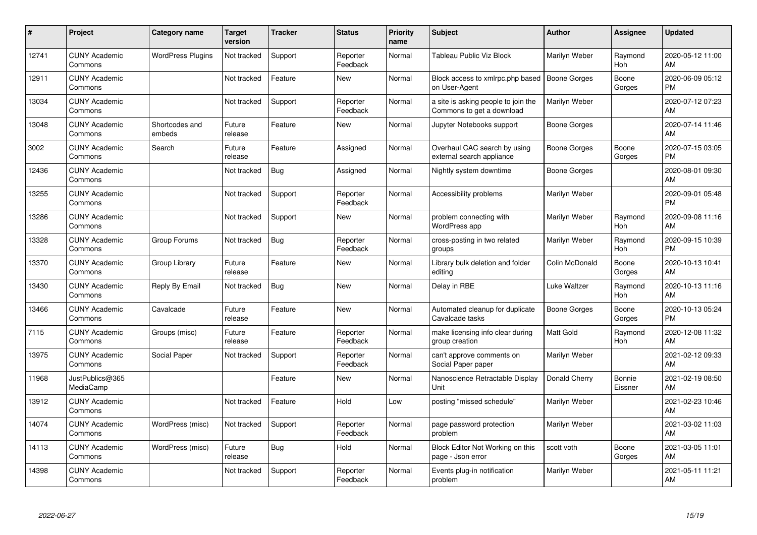| #     | Project                         | <b>Category name</b>     | Target<br>version | <b>Tracker</b> | <b>Status</b>        | <b>Priority</b><br>name | <b>Subject</b>                                                   | <b>Author</b>       | <b>Assignee</b>   | <b>Updated</b>                |
|-------|---------------------------------|--------------------------|-------------------|----------------|----------------------|-------------------------|------------------------------------------------------------------|---------------------|-------------------|-------------------------------|
| 12741 | <b>CUNY Academic</b><br>Commons | <b>WordPress Plugins</b> | Not tracked       | Support        | Reporter<br>Feedback | Normal                  | Tableau Public Viz Block                                         | Marilyn Weber       | Raymond<br>Hoh    | 2020-05-12 11:00<br>AM        |
| 12911 | <b>CUNY Academic</b><br>Commons |                          | Not tracked       | Feature        | New                  | Normal                  | Block access to xmlrpc.php based<br>on User-Agent                | <b>Boone Gorges</b> | Boone<br>Gorges   | 2020-06-09 05:12<br><b>PM</b> |
| 13034 | <b>CUNY Academic</b><br>Commons |                          | Not tracked       | Support        | Reporter<br>Feedback | Normal                  | a site is asking people to join the<br>Commons to get a download | Marilyn Weber       |                   | 2020-07-12 07:23<br>AM        |
| 13048 | <b>CUNY Academic</b><br>Commons | Shortcodes and<br>embeds | Future<br>release | Feature        | <b>New</b>           | Normal                  | Jupyter Notebooks support                                        | Boone Gorges        |                   | 2020-07-14 11:46<br>AM        |
| 3002  | <b>CUNY Academic</b><br>Commons | Search                   | Future<br>release | Feature        | Assigned             | Normal                  | Overhaul CAC search by using<br>external search appliance        | Boone Gorges        | Boone<br>Gorges   | 2020-07-15 03:05<br><b>PM</b> |
| 12436 | <b>CUNY Academic</b><br>Commons |                          | Not tracked       | Bug            | Assigned             | Normal                  | Nightly system downtime                                          | Boone Gorges        |                   | 2020-08-01 09:30<br>AM        |
| 13255 | <b>CUNY Academic</b><br>Commons |                          | Not tracked       | Support        | Reporter<br>Feedback | Normal                  | Accessibility problems                                           | Marilyn Weber       |                   | 2020-09-01 05:48<br><b>PM</b> |
| 13286 | <b>CUNY Academic</b><br>Commons |                          | Not tracked       | Support        | <b>New</b>           | Normal                  | problem connecting with<br><b>WordPress app</b>                  | Marilyn Weber       | Raymond<br>Hoh    | 2020-09-08 11:16<br>AM        |
| 13328 | <b>CUNY Academic</b><br>Commons | Group Forums             | Not tracked       | <b>Bug</b>     | Reporter<br>Feedback | Normal                  | cross-posting in two related<br>groups                           | Marilyn Weber       | Raymond<br>Hoh    | 2020-09-15 10:39<br><b>PM</b> |
| 13370 | <b>CUNY Academic</b><br>Commons | Group Library            | Future<br>release | Feature        | <b>New</b>           | Normal                  | Library bulk deletion and folder<br>editing                      | Colin McDonald      | Boone<br>Gorges   | 2020-10-13 10:41<br>AM        |
| 13430 | <b>CUNY Academic</b><br>Commons | Reply By Email           | Not tracked       | Bug            | <b>New</b>           | Normal                  | Delay in RBE                                                     | Luke Waltzer        | Raymond<br>Hoh    | 2020-10-13 11:16<br>AM        |
| 13466 | <b>CUNY Academic</b><br>Commons | Cavalcade                | Future<br>release | Feature        | <b>New</b>           | Normal                  | Automated cleanup for duplicate<br>Cavalcade tasks               | Boone Gorges        | Boone<br>Gorges   | 2020-10-13 05:24<br><b>PM</b> |
| 7115  | <b>CUNY Academic</b><br>Commons | Groups (misc)            | Future<br>release | Feature        | Reporter<br>Feedback | Normal                  | make licensing info clear during<br>group creation               | <b>Matt Gold</b>    | Raymond<br>Hoh    | 2020-12-08 11:32<br>AM        |
| 13975 | <b>CUNY Academic</b><br>Commons | Social Paper             | Not tracked       | Support        | Reporter<br>Feedback | Normal                  | can't approve comments on<br>Social Paper paper                  | Marilyn Weber       |                   | 2021-02-12 09:33<br>AM        |
| 11968 | JustPublics@365<br>MediaCamp    |                          |                   | Feature        | <b>New</b>           | Normal                  | Nanoscience Retractable Display<br>Unit                          | Donald Cherry       | Bonnie<br>Eissner | 2021-02-19 08:50<br>AM        |
| 13912 | <b>CUNY Academic</b><br>Commons |                          | Not tracked       | Feature        | Hold                 | Low                     | posting "missed schedule"                                        | Marilyn Weber       |                   | 2021-02-23 10:46<br>AM        |
| 14074 | <b>CUNY Academic</b><br>Commons | WordPress (misc)         | Not tracked       | Support        | Reporter<br>Feedback | Normal                  | page password protection<br>problem                              | Marilyn Weber       |                   | 2021-03-02 11:03<br>AM        |
| 14113 | <b>CUNY Academic</b><br>Commons | WordPress (misc)         | Future<br>release | Bug            | Hold                 | Normal                  | Block Editor Not Working on this<br>page - Json error            | scott voth          | Boone<br>Gorges   | 2021-03-05 11:01<br>AM        |
| 14398 | <b>CUNY Academic</b><br>Commons |                          | Not tracked       | Support        | Reporter<br>Feedback | Normal                  | Events plug-in notification<br>problem                           | Marilyn Weber       |                   | 2021-05-11 11:21<br>AM        |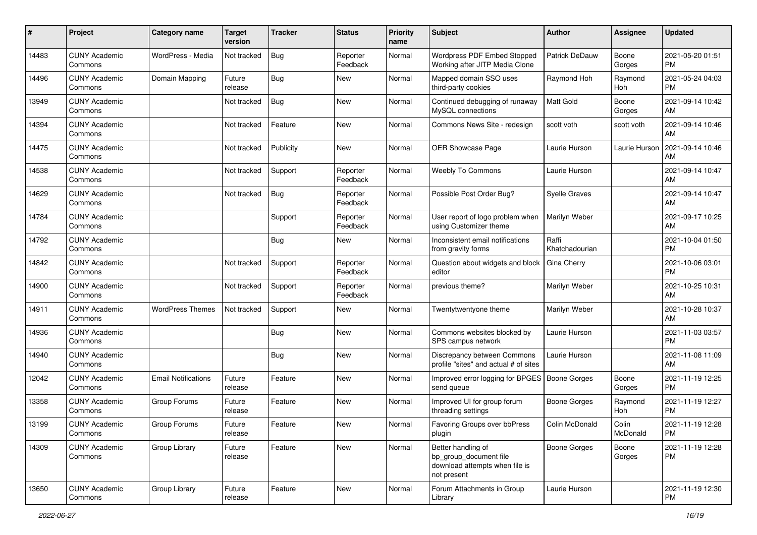| #     | Project                         | <b>Category name</b>       | <b>Target</b><br>version | <b>Tracker</b> | <b>Status</b>        | <b>Priority</b><br>name | <b>Subject</b>                                                                                | Author                  | Assignee          | <b>Updated</b>                |
|-------|---------------------------------|----------------------------|--------------------------|----------------|----------------------|-------------------------|-----------------------------------------------------------------------------------------------|-------------------------|-------------------|-------------------------------|
| 14483 | <b>CUNY Academic</b><br>Commons | WordPress - Media          | Not tracked              | <b>Bug</b>     | Reporter<br>Feedback | Normal                  | <b>Wordpress PDF Embed Stopped</b><br>Working after JITP Media Clone                          | <b>Patrick DeDauw</b>   | Boone<br>Gorges   | 2021-05-20 01:51<br>PM        |
| 14496 | <b>CUNY Academic</b><br>Commons | Domain Mapping             | Future<br>release        | <b>Bug</b>     | New                  | Normal                  | Mapped domain SSO uses<br>third-party cookies                                                 | Raymond Hoh             | Raymond<br>Hoh    | 2021-05-24 04:03<br><b>PM</b> |
| 13949 | <b>CUNY Academic</b><br>Commons |                            | Not tracked              | <b>Bug</b>     | <b>New</b>           | Normal                  | Continued debugging of runaway<br>MySQL connections                                           | <b>Matt Gold</b>        | Boone<br>Gorges   | 2021-09-14 10:42<br>AM        |
| 14394 | <b>CUNY Academic</b><br>Commons |                            | Not tracked              | Feature        | <b>New</b>           | Normal                  | Commons News Site - redesign                                                                  | scott voth              | scott voth        | 2021-09-14 10:46<br>AM        |
| 14475 | <b>CUNY Academic</b><br>Commons |                            | Not tracked              | Publicity      | <b>New</b>           | Normal                  | OER Showcase Page                                                                             | Laurie Hurson           | Laurie Hurson     | 2021-09-14 10:46<br>AM        |
| 14538 | <b>CUNY Academic</b><br>Commons |                            | Not tracked              | Support        | Reporter<br>Feedback | Normal                  | Weebly To Commons                                                                             | Laurie Hurson           |                   | 2021-09-14 10:47<br>AM        |
| 14629 | <b>CUNY Academic</b><br>Commons |                            | Not tracked              | <b>Bug</b>     | Reporter<br>Feedback | Normal                  | Possible Post Order Bug?                                                                      | Syelle Graves           |                   | 2021-09-14 10:47<br>AM        |
| 14784 | <b>CUNY Academic</b><br>Commons |                            |                          | Support        | Reporter<br>Feedback | Normal                  | User report of logo problem when<br>using Customizer theme                                    | Marilyn Weber           |                   | 2021-09-17 10:25<br>AM        |
| 14792 | <b>CUNY Academic</b><br>Commons |                            |                          | Bug            | New                  | Normal                  | Inconsistent email notifications<br>from gravity forms                                        | Raffi<br>Khatchadourian |                   | 2021-10-04 01:50<br><b>PM</b> |
| 14842 | <b>CUNY Academic</b><br>Commons |                            | Not tracked              | Support        | Reporter<br>Feedback | Normal                  | Question about widgets and block<br>editor                                                    | Gina Cherry             |                   | 2021-10-06 03:01<br><b>PM</b> |
| 14900 | <b>CUNY Academic</b><br>Commons |                            | Not tracked              | Support        | Reporter<br>Feedback | Normal                  | previous theme?                                                                               | Marilyn Weber           |                   | 2021-10-25 10:31<br>AM        |
| 14911 | <b>CUNY Academic</b><br>Commons | <b>WordPress Themes</b>    | Not tracked              | Support        | New                  | Normal                  | Twentytwentyone theme                                                                         | Marilyn Weber           |                   | 2021-10-28 10:37<br>AM        |
| 14936 | <b>CUNY Academic</b><br>Commons |                            |                          | Bug            | New                  | Normal                  | Commons websites blocked by<br>SPS campus network                                             | Laurie Hurson           |                   | 2021-11-03 03:57<br><b>PM</b> |
| 14940 | <b>CUNY Academic</b><br>Commons |                            |                          | <b>Bug</b>     | <b>New</b>           | Normal                  | Discrepancy between Commons<br>profile "sites" and actual # of sites                          | Laurie Hurson           |                   | 2021-11-08 11:09<br>AM        |
| 12042 | <b>CUNY Academic</b><br>Commons | <b>Email Notifications</b> | Future<br>release        | Feature        | <b>New</b>           | Normal                  | Improved error logging for BPGES<br>send queue                                                | Boone Gorges            | Boone<br>Gorges   | 2021-11-19 12:25<br>PM        |
| 13358 | <b>CUNY Academic</b><br>Commons | Group Forums               | Future<br>release        | Feature        | <b>New</b>           | Normal                  | Improved UI for group forum<br>threading settings                                             | <b>Boone Gorges</b>     | Raymond<br>Hoh    | 2021-11-19 12:27<br><b>PM</b> |
| 13199 | <b>CUNY Academic</b><br>Commons | <b>Group Forums</b>        | Future<br>release        | Feature        | <b>New</b>           | Normal                  | Favoring Groups over bbPress<br>plugin                                                        | Colin McDonald          | Colin<br>McDonald | 2021-11-19 12:28<br>PM        |
| 14309 | <b>CUNY Academic</b><br>Commons | Group Library              | Future<br>release        | Feature        | New                  | Normal                  | Better handling of<br>bp_group_document file<br>download attempts when file is<br>not present | <b>Boone Gorges</b>     | Boone<br>Gorges   | 2021-11-19 12:28<br><b>PM</b> |
| 13650 | <b>CUNY Academic</b><br>Commons | Group Library              | Future<br>release        | Feature        | New                  | Normal                  | Forum Attachments in Group<br>Library                                                         | Laurie Hurson           |                   | 2021-11-19 12:30<br><b>PM</b> |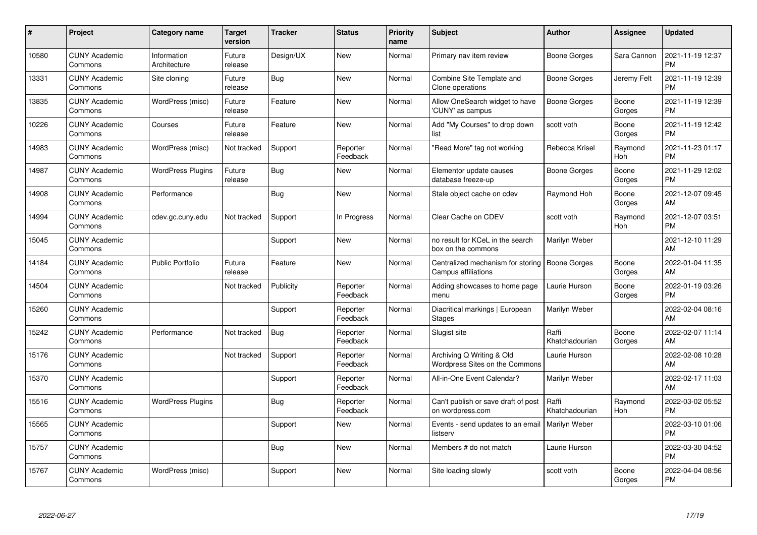| #     | Project                         | <b>Category name</b>        | <b>Target</b><br>version | <b>Tracker</b> | <b>Status</b>        | <b>Priority</b><br>name | <b>Subject</b>                                                | <b>Author</b>           | Assignee        | <b>Updated</b>                |
|-------|---------------------------------|-----------------------------|--------------------------|----------------|----------------------|-------------------------|---------------------------------------------------------------|-------------------------|-----------------|-------------------------------|
| 10580 | <b>CUNY Academic</b><br>Commons | Information<br>Architecture | Future<br>release        | Design/UX      | <b>New</b>           | Normal                  | Primary nav item review                                       | Boone Gorges            | Sara Cannon     | 2021-11-19 12:37<br><b>PM</b> |
| 13331 | <b>CUNY Academic</b><br>Commons | Site cloning                | Future<br>release        | Bug            | <b>New</b>           | Normal                  | Combine Site Template and<br>Clone operations                 | Boone Gorges            | Jeremy Felt     | 2021-11-19 12:39<br><b>PM</b> |
| 13835 | <b>CUNY Academic</b><br>Commons | WordPress (misc)            | Future<br>release        | Feature        | <b>New</b>           | Normal                  | Allow OneSearch widget to have<br>'CUNY' as campus            | <b>Boone Gorges</b>     | Boone<br>Gorges | 2021-11-19 12:39<br><b>PM</b> |
| 10226 | <b>CUNY Academic</b><br>Commons | Courses                     | Future<br>release        | Feature        | <b>New</b>           | Normal                  | Add "My Courses" to drop down<br>list                         | scott voth              | Boone<br>Gorges | 2021-11-19 12:42<br><b>PM</b> |
| 14983 | <b>CUNY Academic</b><br>Commons | WordPress (misc)            | Not tracked              | Support        | Reporter<br>Feedback | Normal                  | 'Read More" tag not working                                   | Rebecca Krisel          | Raymond<br>Hoh  | 2021-11-23 01:17<br><b>PM</b> |
| 14987 | <b>CUNY Academic</b><br>Commons | <b>WordPress Plugins</b>    | Future<br>release        | <b>Bug</b>     | New                  | Normal                  | Elementor update causes<br>database freeze-up                 | Boone Gorges            | Boone<br>Gorges | 2021-11-29 12:02<br><b>PM</b> |
| 14908 | <b>CUNY Academic</b><br>Commons | Performance                 |                          | <b>Bug</b>     | <b>New</b>           | Normal                  | Stale object cache on cdev                                    | Raymond Hoh             | Boone<br>Gorges | 2021-12-07 09:45<br>AM        |
| 14994 | <b>CUNY Academic</b><br>Commons | cdev.gc.cuny.edu            | Not tracked              | Support        | In Progress          | Normal                  | Clear Cache on CDEV                                           | scott voth              | Raymond<br>Hoh  | 2021-12-07 03:51<br><b>PM</b> |
| 15045 | <b>CUNY Academic</b><br>Commons |                             |                          | Support        | <b>New</b>           | Normal                  | no result for KCeL in the search<br>box on the commons        | Marilyn Weber           |                 | 2021-12-10 11:29<br>AM        |
| 14184 | <b>CUNY Academic</b><br>Commons | <b>Public Portfolio</b>     | Future<br>release        | Feature        | <b>New</b>           | Normal                  | Centralized mechanism for storing<br>Campus affiliations      | Boone Gorges            | Boone<br>Gorges | 2022-01-04 11:35<br>AM        |
| 14504 | <b>CUNY Academic</b><br>Commons |                             | Not tracked              | Publicity      | Reporter<br>Feedback | Normal                  | Adding showcases to home page<br>menu                         | Laurie Hurson           | Boone<br>Gorges | 2022-01-19 03:26<br><b>PM</b> |
| 15260 | <b>CUNY Academic</b><br>Commons |                             |                          | Support        | Reporter<br>Feedback | Normal                  | Diacritical markings   European<br><b>Stages</b>              | Marilyn Weber           |                 | 2022-02-04 08:16<br>AM        |
| 15242 | <b>CUNY Academic</b><br>Commons | Performance                 | Not tracked              | Bug            | Reporter<br>Feedback | Normal                  | Slugist site                                                  | Raffi<br>Khatchadourian | Boone<br>Gorges | 2022-02-07 11:14<br>AM        |
| 15176 | <b>CUNY Academic</b><br>Commons |                             | Not tracked              | Support        | Reporter<br>Feedback | Normal                  | Archiving Q Writing & Old<br>Wordpress Sites on the Commons   | Laurie Hurson           |                 | 2022-02-08 10:28<br>AM        |
| 15370 | <b>CUNY Academic</b><br>Commons |                             |                          | Support        | Reporter<br>Feedback | Normal                  | All-in-One Event Calendar?                                    | Marilyn Weber           |                 | 2022-02-17 11:03<br>AM        |
| 15516 | <b>CUNY Academic</b><br>Commons | <b>WordPress Plugins</b>    |                          | <b>Bug</b>     | Reporter<br>Feedback | Normal                  | Can't publish or save draft of post<br>on wordpress.com       | Raffi<br>Khatchadourian | Raymond<br>Hoh  | 2022-03-02 05:52<br><b>PM</b> |
| 15565 | <b>CUNY Academic</b><br>Commons |                             |                          | Support        | New                  | Normal                  | Events - send updates to an email   Marilyn Weber<br>listserv |                         |                 | 2022-03-10 01:06<br><b>PM</b> |
| 15757 | <b>CUNY Academic</b><br>Commons |                             |                          | Bug            | New                  | Normal                  | Members # do not match                                        | Laurie Hurson           |                 | 2022-03-30 04:52<br><b>PM</b> |
| 15767 | <b>CUNY Academic</b><br>Commons | WordPress (misc)            |                          | Support        | <b>New</b>           | Normal                  | Site loading slowly                                           | scott voth              | Boone<br>Gorges | 2022-04-04 08:56<br><b>PM</b> |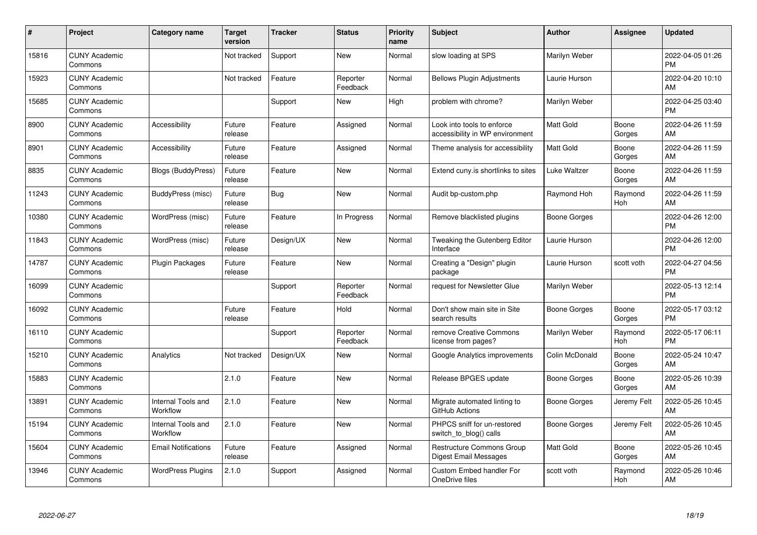| #     | Project                         | <b>Category name</b>           | <b>Target</b><br>version | <b>Tracker</b> | <b>Status</b>        | <b>Priority</b><br>name | <b>Subject</b>                                                | <b>Author</b>    | <b>Assignee</b>       | <b>Updated</b>                |
|-------|---------------------------------|--------------------------------|--------------------------|----------------|----------------------|-------------------------|---------------------------------------------------------------|------------------|-----------------------|-------------------------------|
| 15816 | <b>CUNY Academic</b><br>Commons |                                | Not tracked              | Support        | <b>New</b>           | Normal                  | slow loading at SPS                                           | Marilyn Weber    |                       | 2022-04-05 01:26<br><b>PM</b> |
| 15923 | <b>CUNY Academic</b><br>Commons |                                | Not tracked              | Feature        | Reporter<br>Feedback | Normal                  | <b>Bellows Plugin Adjustments</b>                             | Laurie Hurson    |                       | 2022-04-20 10:10<br>AM        |
| 15685 | <b>CUNY Academic</b><br>Commons |                                |                          | Support        | New                  | High                    | problem with chrome?                                          | Marilyn Weber    |                       | 2022-04-25 03:40<br><b>PM</b> |
| 8900  | <b>CUNY Academic</b><br>Commons | Accessibility                  | Future<br>release        | Feature        | Assigned             | Normal                  | Look into tools to enforce<br>accessibility in WP environment | Matt Gold        | Boone<br>Gorges       | 2022-04-26 11:59<br>AM        |
| 8901  | <b>CUNY Academic</b><br>Commons | Accessibility                  | Future<br>release        | Feature        | Assigned             | Normal                  | Theme analysis for accessibility                              | <b>Matt Gold</b> | Boone<br>Gorges       | 2022-04-26 11:59<br>AM        |
| 8835  | <b>CUNY Academic</b><br>Commons | Blogs (BuddyPress)             | Future<br>release        | Feature        | New                  | Normal                  | Extend cuny is shortlinks to sites                            | Luke Waltzer     | Boone<br>Gorges       | 2022-04-26 11:59<br>AM        |
| 11243 | <b>CUNY Academic</b><br>Commons | BuddyPress (misc)              | Future<br>release        | Bug            | <b>New</b>           | Normal                  | Audit bp-custom.php                                           | Raymond Hoh      | Raymond<br><b>Hoh</b> | 2022-04-26 11:59<br>AM        |
| 10380 | <b>CUNY Academic</b><br>Commons | WordPress (misc)               | Future<br>release        | Feature        | In Progress          | Normal                  | Remove blacklisted plugins                                    | Boone Gorges     |                       | 2022-04-26 12:00<br><b>PM</b> |
| 11843 | <b>CUNY Academic</b><br>Commons | WordPress (misc)               | Future<br>release        | Design/UX      | <b>New</b>           | Normal                  | Tweaking the Gutenberg Editor<br>Interface                    | Laurie Hurson    |                       | 2022-04-26 12:00<br><b>PM</b> |
| 14787 | <b>CUNY Academic</b><br>Commons | <b>Plugin Packages</b>         | Future<br>release        | Feature        | <b>New</b>           | Normal                  | Creating a "Design" plugin<br>package                         | Laurie Hurson    | scott voth            | 2022-04-27 04:56<br><b>PM</b> |
| 16099 | <b>CUNY Academic</b><br>Commons |                                |                          | Support        | Reporter<br>Feedback | Normal                  | request for Newsletter Glue                                   | Marilyn Weber    |                       | 2022-05-13 12:14<br><b>PM</b> |
| 16092 | <b>CUNY Academic</b><br>Commons |                                | Future<br>release        | Feature        | Hold                 | Normal                  | Don't show main site in Site<br>search results                | Boone Gorges     | Boone<br>Gorges       | 2022-05-17 03:12<br><b>PM</b> |
| 16110 | <b>CUNY Academic</b><br>Commons |                                |                          | Support        | Reporter<br>Feedback | Normal                  | remove Creative Commons<br>license from pages?                | Marilyn Weber    | Raymond<br>Hoh        | 2022-05-17 06:11<br><b>PM</b> |
| 15210 | <b>CUNY Academic</b><br>Commons | Analytics                      | Not tracked              | Design/UX      | <b>New</b>           | Normal                  | Google Analytics improvements                                 | Colin McDonald   | Boone<br>Gorges       | 2022-05-24 10:47<br>AM        |
| 15883 | <b>CUNY Academic</b><br>Commons |                                | 2.1.0                    | Feature        | <b>New</b>           | Normal                  | Release BPGES update                                          | Boone Gorges     | Boone<br>Gorges       | 2022-05-26 10:39<br>AM        |
| 13891 | <b>CUNY Academic</b><br>Commons | Internal Tools and<br>Workflow | 2.1.0                    | Feature        | <b>New</b>           | Normal                  | Migrate automated linting to<br>GitHub Actions                | Boone Gorges     | Jeremy Felt           | 2022-05-26 10:45<br>AM        |
| 15194 | <b>CUNY Academic</b><br>Commons | Internal Tools and<br>Workflow | 2.1.0                    | Feature        | <b>New</b>           | Normal                  | PHPCS sniff for un-restored<br>switch to blog() calls         | Boone Gorges     | Jeremy Felt           | 2022-05-26 10:45<br>AM        |
| 15604 | <b>CUNY Academic</b><br>Commons | <b>Email Notifications</b>     | Future<br>release        | Feature        | Assigned             | Normal                  | <b>Restructure Commons Group</b><br>Digest Email Messages     | <b>Matt Gold</b> | Boone<br>Gorges       | 2022-05-26 10:45<br>AM        |
| 13946 | <b>CUNY Academic</b><br>Commons | <b>WordPress Plugins</b>       | 2.1.0                    | Support        | Assigned             | Normal                  | Custom Embed handler For<br>OneDrive files                    | scott voth       | Raymond<br>Hoh        | 2022-05-26 10:46<br>AM        |